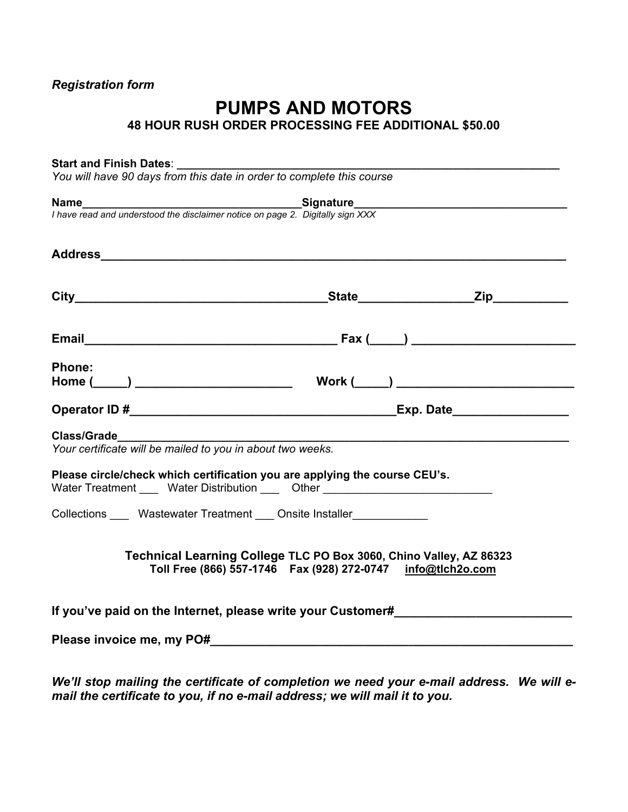## *Registration form*

# **PUMPS AND MOTORS**

**48 HOUR RUSH ORDER PROCESSING FEE ADDITIONAL \$50.00** 

|               | <b>Name</b><br>I have read and understood the disclaimer notice on page 2. Digitally sign XXX                                                                  |  |
|---------------|----------------------------------------------------------------------------------------------------------------------------------------------------------------|--|
|               |                                                                                                                                                                |  |
|               |                                                                                                                                                                |  |
|               |                                                                                                                                                                |  |
|               |                                                                                                                                                                |  |
|               |                                                                                                                                                                |  |
| <b>Phone:</b> |                                                                                                                                                                |  |
|               |                                                                                                                                                                |  |
|               |                                                                                                                                                                |  |
|               |                                                                                                                                                                |  |
|               | Please circle/check which certification you are applying the course CEU's.<br>Water Treatment ____ Water Distribution ____ Other _____________________________ |  |
|               | Collections _____ Wastewater Treatment ____ Onsite Installer _____________                                                                                     |  |
|               | Technical Learning College TLC PO Box 3060, Chino Valley, AZ 86323<br>Toll Free (866) 557-1746  Fax (928) 272-0747  info@tlch2o.com                            |  |
|               | If you've paid on the Internet, please write your Customer#                                                                                                    |  |
|               |                                                                                                                                                                |  |

*We'll stop mailing the certificate of completion we need your e-mail address. We will email the certificate to you, if no e-mail address; we will mail it to you.*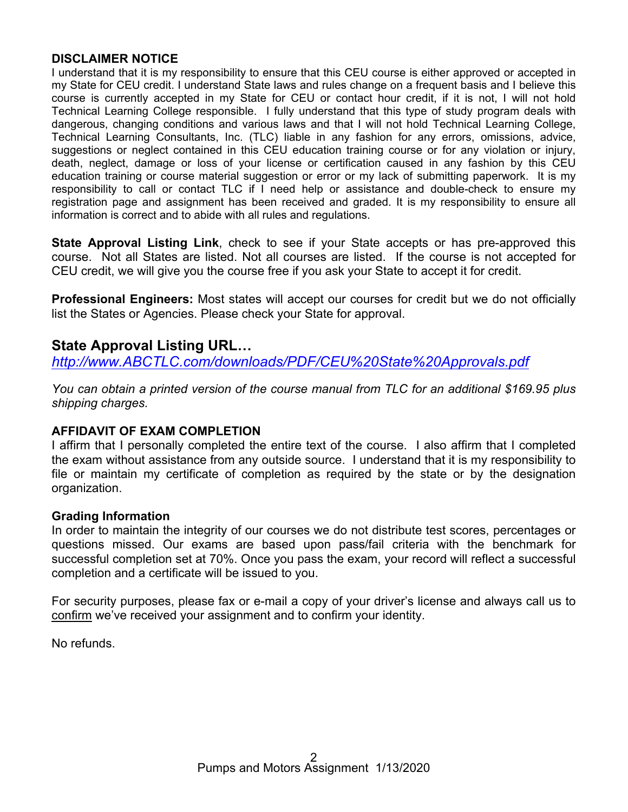## **DISCLAIMER NOTICE**

I understand that it is my responsibility to ensure that this CEU course is either approved or accepted in my State for CEU credit. I understand State laws and rules change on a frequent basis and I believe this course is currently accepted in my State for CEU or contact hour credit, if it is not, I will not hold Technical Learning College responsible. I fully understand that this type of study program deals with dangerous, changing conditions and various laws and that I will not hold Technical Learning College, Technical Learning Consultants, Inc. (TLC) liable in any fashion for any errors, omissions, advice, suggestions or neglect contained in this CEU education training course or for any violation or injury, death, neglect, damage or loss of your license or certification caused in any fashion by this CEU education training or course material suggestion or error or my lack of submitting paperwork. It is my responsibility to call or contact TLC if I need help or assistance and double-check to ensure my registration page and assignment has been received and graded. It is my responsibility to ensure all information is correct and to abide with all rules and regulations.

**State Approval Listing Link**, check to see if your State accepts or has pre-approved this course. Not all States are listed. Not all courses are listed. If the course is not accepted for CEU credit, we will give you the course free if you ask your State to accept it for credit.

**Professional Engineers:** Most states will accept our courses for credit but we do not officially list the States or Agencies. Please check your State for approval.

## **State Approval Listing URL…**

*<http://www.ABCTLC.com/downloads/PDF/CEU%20State%20Approvals.pdf>*

*You can obtain a printed version of the course manual from TLC for an additional \$169.95 plus shipping charges.* 

## **AFFIDAVIT OF EXAM COMPLETION**

I affirm that I personally completed the entire text of the course. I also affirm that I completed the exam without assistance from any outside source. I understand that it is my responsibility to file or maintain my certificate of completion as required by the state or by the designation organization.

## **Grading Information**

In order to maintain the integrity of our courses we do not distribute test scores, percentages or questions missed. Our exams are based upon pass/fail criteria with the benchmark for successful completion set at 70%. Once you pass the exam, your record will reflect a successful completion and a certificate will be issued to you.

For security purposes, please fax or e-mail a copy of your driver's license and always call us to confirm we've received your assignment and to confirm your identity.

No refunds.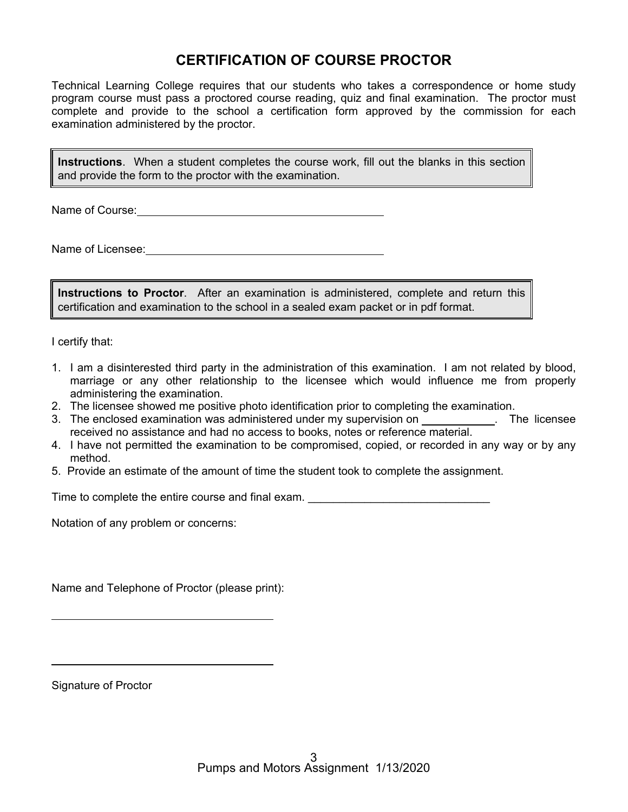# **CERTIFICATION OF COURSE PROCTOR**

Technical Learning College requires that our students who takes a correspondence or home study program course must pass a proctored course reading, quiz and final examination. The proctor must complete and provide to the school a certification form approved by the commission for each examination administered by the proctor.

**Instructions**. When a student completes the course work, fill out the blanks in this section and provide the form to the proctor with the examination.

Name of Course:  $\blacksquare$ 

Name of Licensee:

**Instructions to Proctor**. After an examination is administered, complete and return this certification and examination to the school in a sealed exam packet or in pdf format.

I certify that:

- 1. I am a disinterested third party in the administration of this examination. I am not related by blood, marriage or any other relationship to the licensee which would influence me from properly administering the examination.
- 2. The licensee showed me positive photo identification prior to completing the examination.
- 3. The enclosed examination was administered under my supervision on . The licensee received no assistance and had no access to books, notes or reference material.
- 4. I have not permitted the examination to be compromised, copied, or recorded in any way or by any method.
- 5. Provide an estimate of the amount of time the student took to complete the assignment.

Time to complete the entire course and final exam.

Notation of any problem or concerns:

Name and Telephone of Proctor (please print):

Signature of Proctor

 $\overline{a}$ 

 $\overline{a}$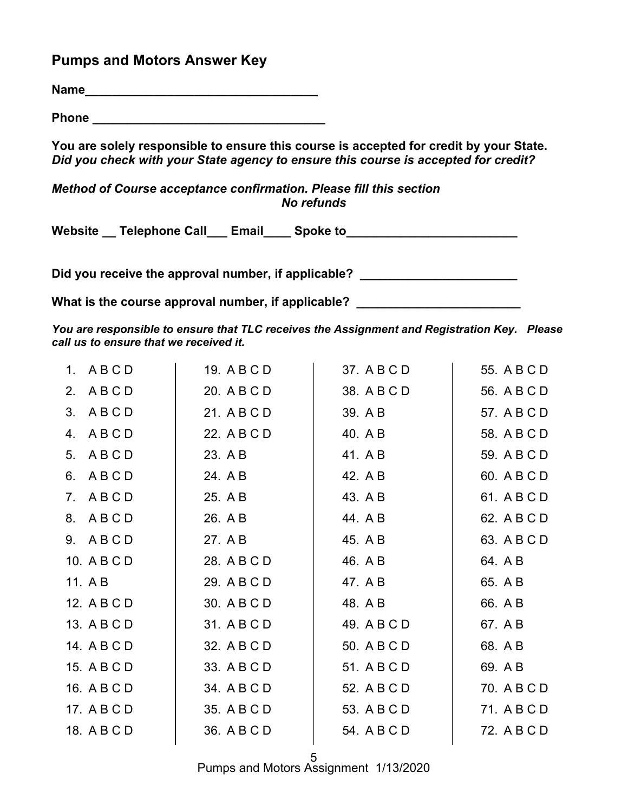| <b>Pumps and Motors Answer Key</b>                                                                                                                                           |
|------------------------------------------------------------------------------------------------------------------------------------------------------------------------------|
|                                                                                                                                                                              |
|                                                                                                                                                                              |
| You are solely responsible to ensure this course is accepted for credit by your State.<br>Did you check with your State agency to ensure this course is accepted for credit? |
| Method of Course acceptance confirmation. Please fill this section<br>No refunds                                                                                             |
| Website __ Telephone Call___ Email____ Spoke to ________________________________                                                                                             |
| Did you receive the approval number, if applicable?                                                                                                                          |
| What is the course approval number, if applicable?                                                                                                                           |

*You are responsible to ensure that TLC receives the Assignment and Registration Key. Please call us to ensure that we received it.* 

|    | 1. ABCD     | 19. A B C D | 37. A B C D | 55. A B C D |
|----|-------------|-------------|-------------|-------------|
|    |             |             |             |             |
|    | 2. ABCD     | 20. A B C D | 38. A B C D | 56. A B C D |
| 3. | ABCD        | 21. A B C D | 39. A B     | 57. A B C D |
| 4. | ABCD        | 22. A B C D | 40. A B     | 58. A B C D |
| 5. | ABCD        | 23. A B     | 41. A B     | 59. A B C D |
| 6. | ABCD        | 24. A B     | 42. A B     | 60. A B C D |
|    | 7. ABCD     | 25. A B     | 43. A B     | 61. A B C D |
|    | 8. ABCD     | 26. A B     | 44. A B     | 62. A B C D |
|    | 9. ABCD     | 27. A B     | 45. A B     | 63. A B C D |
|    | 10. A B C D | 28. A B C D | 46. A B     | 64. A B     |
|    | 11. A B     | 29. A B C D | 47. A B     | 65. A B     |
|    | 12. A B C D | 30. A B C D | 48. A B     | 66. A B     |
|    | 13. A B C D | 31. A B C D | 49. A B C D | 67. A B     |
|    | 14. A B C D | 32. A B C D | 50. A B C D | 68. A B     |
|    | 15. A B C D | 33. A B C D | 51. A B C D | 69. A B     |
|    | 16. A B C D | 34. A B C D | 52. A B C D | 70. A B C D |
|    | 17. A B C D | 35. A B C D | 53. A B C D | 71. A B C D |
|    | 18. A B C D | 36. A B C D | 54. A B C D | 72. A B C D |
|    |             |             |             |             |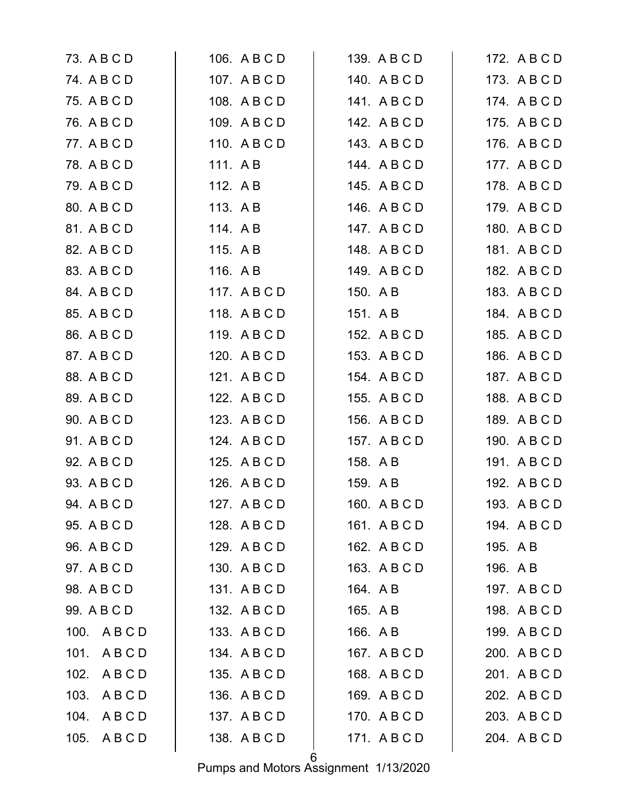| 73. A B C D  | 106. A B C D | 139. A B C D | 172. A B C D |
|--------------|--------------|--------------|--------------|
| 74. A B C D  | 107. ABCD    | 140. ABCD    | 173. A B C D |
| 75. A B C D  | 108. A B C D | 141. A B C D | 174. A B C D |
| 76. A B C D  | 109. A B C D | 142. A B C D | 175. A B C D |
| 77. A B C D  | 110. ABCD    | 143. A B C D | 176. A B C D |
| 78. A B C D  | 111. AB      | 144. ABCD    | 177. A B C D |
| 79. A B C D  | 112. A B     | 145. A B C D | 178. A B C D |
| 80. A B C D  | 113. AB      | 146. A B C D | 179. A B C D |
| 81. A B C D  | 114. AB      | 147. A B C D | 180. A B C D |
| 82. A B C D  | 115. A B     | 148. ABCD    | 181. A B C D |
| 83. A B C D  | 116. A B     | 149. A B C D | 182. A B C D |
| 84. A B C D  | 117. A B C D | 150. A B     | 183. A B C D |
| 85. A B C D  | 118. ABCD    | 151. A B     | 184. A B C D |
| 86. A B C D  | 119. ABCD    | 152. A B C D | 185. A B C D |
| 87. A B C D  | 120. A B C D | 153. A B C D | 186. A B C D |
| 88. A B C D  | 121. ABCD    | 154. A B C D | 187. A B C D |
| 89. A B C D  | 122. A B C D | 155. A B C D | 188. A B C D |
| 90. A B C D  | 123. ABCD    | 156. A B C D | 189. A B C D |
| 91. A B C D  | 124. A B C D | 157. A B C D | 190. A B C D |
| 92. A B C D  | 125. A B C D | 158. A B     | 191. A B C D |
| 93. A B C D  | 126. A B C D | 159. A B     | 192. A B C D |
| 94. A B C D  | 127. ABCD    | 160. A B C D | 193. A B C D |
| 95. A B C D  | 128. A B C D | 161. A B C D | 194. A B C D |
| 96. A B C D  | 129. ABCD    | 162. A B C D | 195. A B     |
| 97. A B C D  | 130. ABCD    | 163. A B C D | 196. A B     |
| 98. A B C D  | 131. ABCD    | 164. A B     | 197. A B C D |
| 99. A B C D  | 132. A B C D | 165. A B     | 198. A B C D |
| 100. ABCD    | 133. ABCD    | 166. A B     | 199. ABCD    |
| 101.<br>ABCD | 134. ABCD    | 167. A B C D | 200. A B C D |
| ABCD<br>102. | 135. A B C D | 168. A B C D | 201. ABCD    |
| 103.<br>ABCD | 136. A B C D | 169. A B C D | 202. A B C D |
| ABCD<br>104. | 137. ABCD    | 170. ABCD    | 203. A B C D |
| 105.<br>ABCD | 138. A B C D | 171. ABCD    | 204. A B C D |
|              |              |              |              |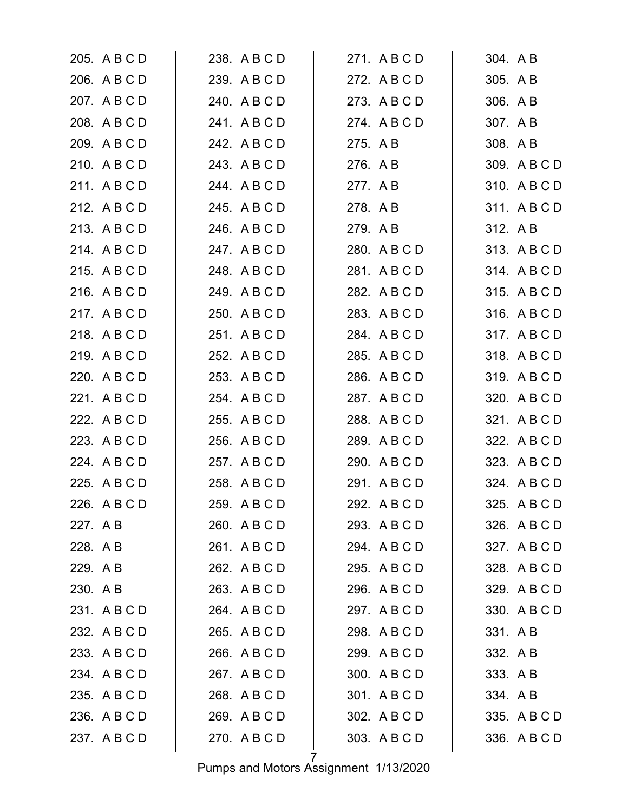| 205. A B C D | 238. A B C D | 271. ABCD    | 304. AB      |
|--------------|--------------|--------------|--------------|
| 206. A B C D | 239. A B C D | 272. A B C D | 305. A B     |
| 207. ABCD    | 240. A B C D | 273. A B C D | 306. A B     |
| 208. A B C D | 241. A B C D | 274. ABCD    | 307. A B     |
| 209. A B C D | 242. A B C D | 275. A B     | 308. A B     |
| 210. ABCD    | 243. A B C D | 276. AB      | 309. A B C D |
| 211. A B C D | 244. A B C D | 277. A B     | 310. A B C D |
| 212. A B C D | 245. A B C D | 278. A B     | 311. ABCD    |
| 213. A B C D | 246. A B C D | 279. AB      | 312. A B     |
| 214. ABCD    | 247. A B C D | 280. A B C D | 313. A B C D |
| 215. A B C D | 248. A B C D | 281. ABCD    | 314. ABCD    |
| 216. ABCD    | 249. A B C D | 282. A B C D | 315. A B C D |
| 217. ABCD    | 250. ABCD    | 283. A B C D | 316. A B C D |
| 218. A B C D | 251. A B C D | 284. ABCD    | 317. A B C D |
| 219. A B C D | 252. A B C D | 285. A B C D | 318. ABCD    |
| 220. A B C D | 253. A B C D | 286. A B C D | 319. ABCD    |
| 221. A B C D | 254. A B C D | 287. A B C D | 320. A B C D |
| 222. A B C D | 255. A B C D | 288. A B C D | 321. A B C D |
| 223. A B C D | 256. A B C D | 289. A B C D | 322. A B C D |
| 224. A B C D | 257. A B C D | 290. A B C D | 323. A B C D |
| 225. A B C D | 258. A B C D | 291. A B C D | 324. A B C D |
| 226. A B C D | 259. ABCD    | 292. A B C D | 325. A B C D |
| 227. AB      | 260. A B C D | 293. A B C D | 326. A B C D |
| 228. AB      | 261. A B C D | 294. ABCD    | 327. A B C D |
| 229. AB      | 262. A B C D | 295. A B C D | 328. A B C D |
| 230. AB      | 263. A B C D | 296. A B C D | 329. ABCD    |
| 231. ABCD    | 264. A B C D | 297. ABCD    | 330. A B C D |
| 232. A B C D | 265. A B C D | 298. A B C D | 331. AB      |
| 233. A B C D | 266. A B C D | 299. A B C D | 332. A B     |
| 234. A B C D | 267. A B C D | 300. A B C D | 333. A B     |
| 235. A B C D | 268. A B C D | 301. ABCD    | 334. A B     |
| 236. A B C D | 269. A B C D | 302. A B C D | 335. A B C D |
| 237. ABCD    | 270. ABCD    | 303. A B C D | 336. A B C D |
|              |              |              |              |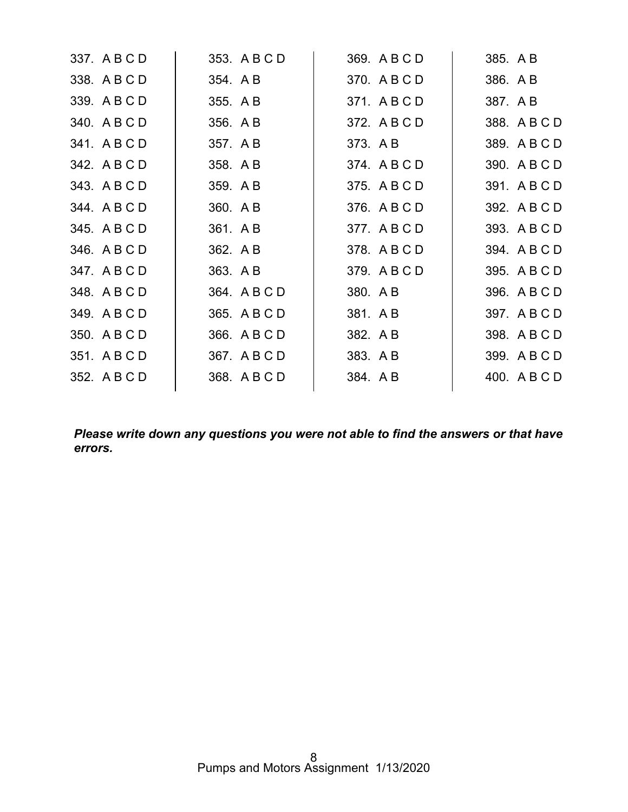| 337. A B C D | 353. A B C D | 369. A B C D | 385. A B     |
|--------------|--------------|--------------|--------------|
| 338. A B C D | 354. A B     | 370. A B C D | 386. A B     |
| 339. ABCD    | 355. A B     | 371. ABCD    | 387. A B     |
| 340. A B C D | 356. A B     | 372. A B C D | 388. A B C D |
| 341. ABCD    | 357. A B     | 373. A B     | 389. A B C D |
| 342. A B C D | 358. A B     | 374. A B C D | 390. A B C D |
| 343. A B C D | 359. A B     | 375. A B C D | 391. ABCD    |
| 344. A B C D | 360. A B     | 376. A B C D | 392. A B C D |
| 345. A B C D | 361. AB      | 377. ABCD    | 393. A B C D |
| 346. A B C D | 362. A B     | 378. ABCD    | 394. A B C D |
| 347. A B C D | 363. A B     | 379. A B C D | 395. A B C D |
| 348. ABCD    | 364. A B C D | 380. AB      | 396. A B C D |
| 349. ABCD    | 365. A B C D | 381. A B     | 397. A B C D |
| 350. A B C D | 366. A B C D | 382. A B     | 398. A B C D |
| 351. A B C D | 367. A B C D | 383. A B     | 399. A B C D |
| 352. A B C D | 368. A B C D | 384. AB      | 400. A B C D |
|              |              |              |              |

*Please write down any questions you were not able to find the answers or that have errors.*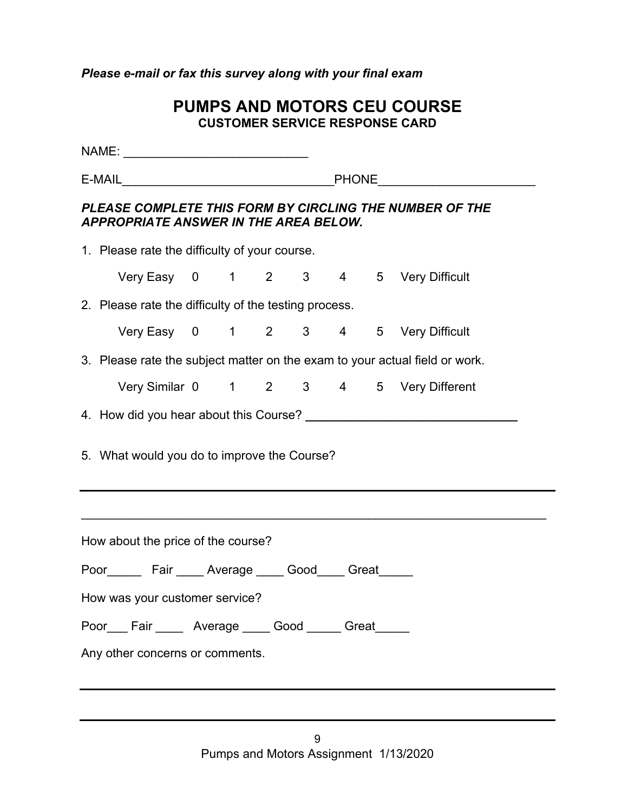*Please e-mail or fax this survey along with your final exam* 

# **PUMPS AND MOTORS CEU COURSE CUSTOMER SERVICE RESPONSE CARD**

| <b>APPROPRIATE ANSWER IN THE AREA BELOW.</b>                |  |  | PLEASE COMPLETE THIS FORM BY CIRCLING THE NUMBER OF THE                     |
|-------------------------------------------------------------|--|--|-----------------------------------------------------------------------------|
| 1. Please rate the difficulty of your course.               |  |  |                                                                             |
|                                                             |  |  | Very Easy 0 1 2 3 4 5 Very Difficult                                        |
| 2. Please rate the difficulty of the testing process.       |  |  |                                                                             |
|                                                             |  |  | Very Easy 0 1 2 3 4 5 Very Difficult                                        |
|                                                             |  |  | 3. Please rate the subject matter on the exam to your actual field or work. |
|                                                             |  |  | Very Similar 0 1 2 3 4 5 Very Different                                     |
|                                                             |  |  |                                                                             |
| 5. What would you do to improve the Course?                 |  |  |                                                                             |
| How about the price of the course?                          |  |  |                                                                             |
| Poor________ Fair _____ Average _____ Good_____ Great______ |  |  |                                                                             |
| How was your customer service?                              |  |  |                                                                             |
| Poor___ Fair _____ Average ____ Good _____ Great____        |  |  |                                                                             |
| Any other concerns or comments.                             |  |  |                                                                             |
|                                                             |  |  |                                                                             |
|                                                             |  |  |                                                                             |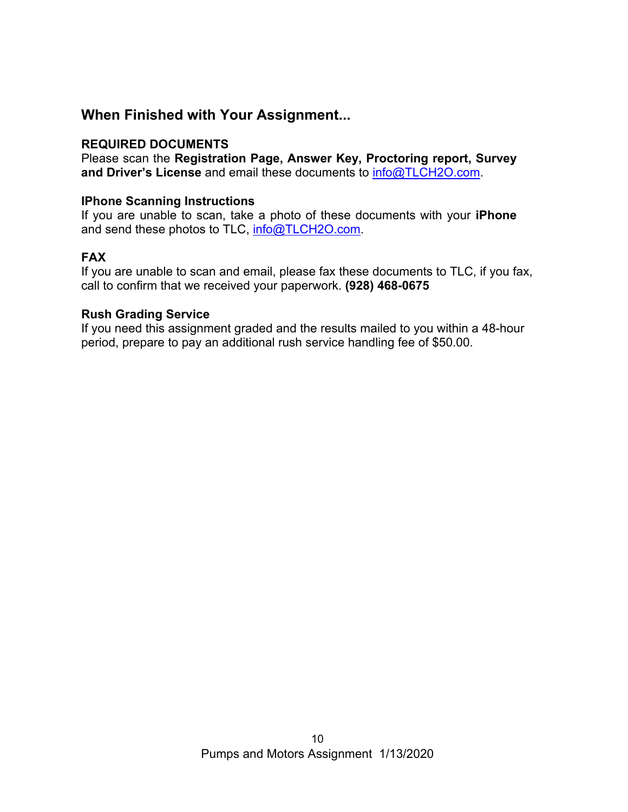# **When Finished with Your Assignment...**

## **REQUIRED DOCUMENTS**

Please scan the **Registration Page, Answer Key, Proctoring report, Survey and Driver's License** and email these documents to [info@TLCH2O.com.](mailto:info@TLCH2O.com) 

### **IPhone Scanning Instructions**

If you are unable to scan, take a photo of these documents with your **iPhone** and send these photos to TLC, info@TLCH2O.com.

## **FAX**

If you are unable to scan and email, please fax these documents to TLC, if you fax, call to confirm that we received your paperwork. **(928) 468-0675** 

### **Rush Grading Service**

If you need this assignment graded and the results mailed to you within a 48-hour period, prepare to pay an additional rush service handling fee of \$50.00.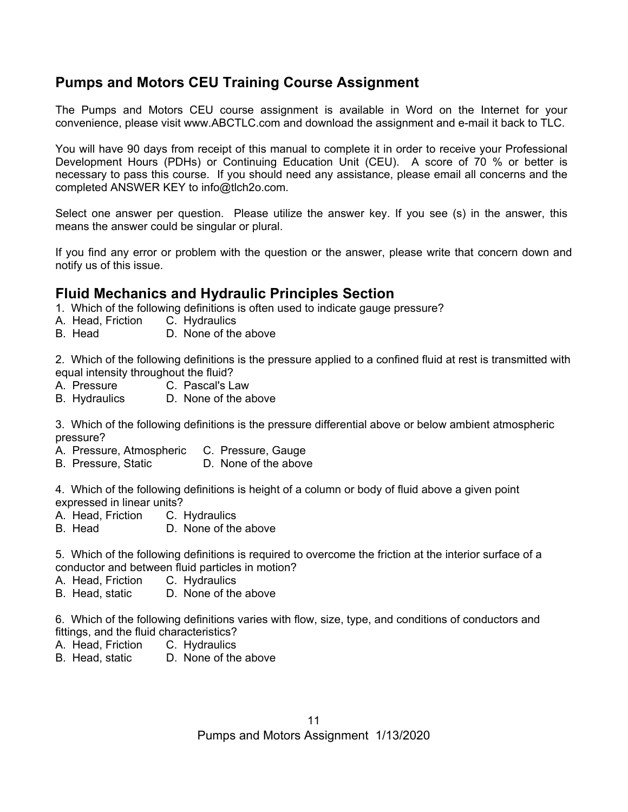# **Pumps and Motors CEU Training Course Assignment**

The Pumps and Motors CEU course assignment is available in Word on the Internet for your convenience, please visit [www.ABCTLC.com an](http://www.ABCTLC.com)d download the assignment and e-mail it back to TLC.

You will have 90 days from receipt of this manual to complete it in order to receive your Professional Development Hours (PDHs) or Continuing Education Unit (CEU). A score of 70 % or better is necessary to pass this course. If you should need any assistance, please email all concerns and the completed ANSWER KEY to [info@tlch2o.com.](mailto:info@tlch2o.com) 

Select one answer per question. Please utilize the answer key. If you see (s) in the answer, this means the answer could be singular or plural.

If you find any error or problem with the question or the answer, please write that concern down and notify us of this issue.

# **Fluid Mechanics and Hydraulic Principles Section**

- 1. Which of the following definitions is often used to indicate gauge pressure?
- A. Head, Friction C. Hydraulics
- B. Head D. None of the above

2. Which of the following definitions is the pressure applied to a confined fluid at rest is transmitted with equal intensity throughout the fluid?

- A. Pressure C. Pascal's Law
- B. Hydraulics D. None of the above

3. Which of the following definitions is the pressure differential above or below ambient atmospheric pressure?

- A. Pressure, Atmospheric C. Pressure, Gauge
- B. Pressure, Static D. None of the above

4. Which of the following definitions is height of a column or body of fluid above a given point expressed in linear units?

- A. Head, Friction C. Hydraulics
- B. Head D. None of the above

5. Which of the following definitions is required to overcome the friction at the interior surface of a conductor and between fluid particles in motion?

- A. Head, Friction C. Hydraulics
- B. Head, static D. None of the above

6. Which of the following definitions varies with flow, size, type, and conditions of conductors and fittings, and the fluid characteristics?

- A. Head, Friction C. Hydraulics
- B. Head, static D. None of the above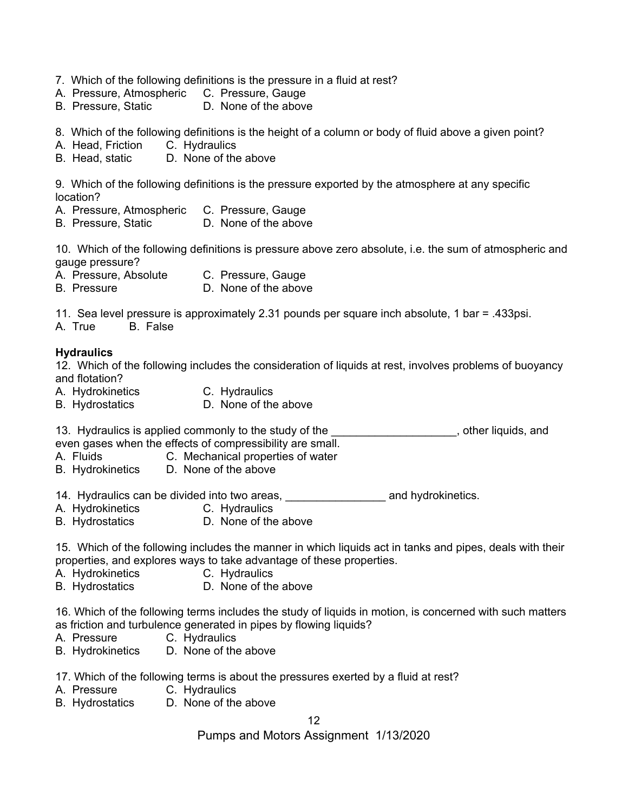- 7. Which of the following definitions is the pressure in a fluid at rest?
- A. Pressure, Atmospheric C. Pressure, Gauge
- B. Pressure, Static D. None of the above

8. Which of the following definitions is the height of a column or body of fluid above a given point?

- A. Head, Friction C. Hydraulics
- B. Head, static D. None of the above

9. Which of the following definitions is the pressure exported by the atmosphere at any specific location?

- A. Pressure, Atmospheric C. Pressure, Gauge
- B. Pressure, Static D. None of the above

10. Which of the following definitions is pressure above zero absolute, i.e. the sum of atmospheric and gauge pressure?

- A. Pressure, Absolute C. Pressure, Gauge
- B. Pressure D. None of the above

11. Sea level pressure is approximately 2.31 pounds per square inch absolute, 1 bar = .433psi.

A. True B. False

#### **Hydraulics**

12. Which of the following includes the consideration of liquids at rest, involves problems of buoyancy and flotation?

- A. Hydrokinetics C. Hydraulics
- B. Hydrostatics D. None of the above

13. Hydraulics is applied commonly to the study of the **study of the study of the study**, other liquids, and even gases when the effects of compressibility are small.

- A. Fluids C. Mechanical properties of water
- B. Hydrokinetics D. None of the above

14. Hydraulics can be divided into two areas, \_\_\_\_\_\_\_\_\_\_\_\_\_\_\_\_\_\_\_\_\_\_\_\_\_\_\_\_\_\_\_\_\_\_ and hydrokinetics.<br>A. Hydrokinetics \_\_\_\_\_\_\_\_\_\_\_\_\_\_\_\_\_\_C. Hydraulics

- A. Hydrokinetics
- B. Hydrostatics D. None of the above

15. Which of the following includes the manner in which liquids act in tanks and pipes, deals with their properties, and explores ways to take advantage of these properties.

- A. Hydrokinetics **C. Hydraulics**
- B. Hydrostatics D. None of the above

16. Which of the following terms includes the study of liquids in motion, is concerned with such matters as friction and turbulence generated in pipes by flowing liquids?

- A. Pressure C. Hydraulics
- B. Hydrokinetics D. None of the above
- 17. Which of the following terms is about the pressures exerted by a fluid at rest?
- A. Pressure C. Hydraulics
- B. Hydrostatics D. None of the above

12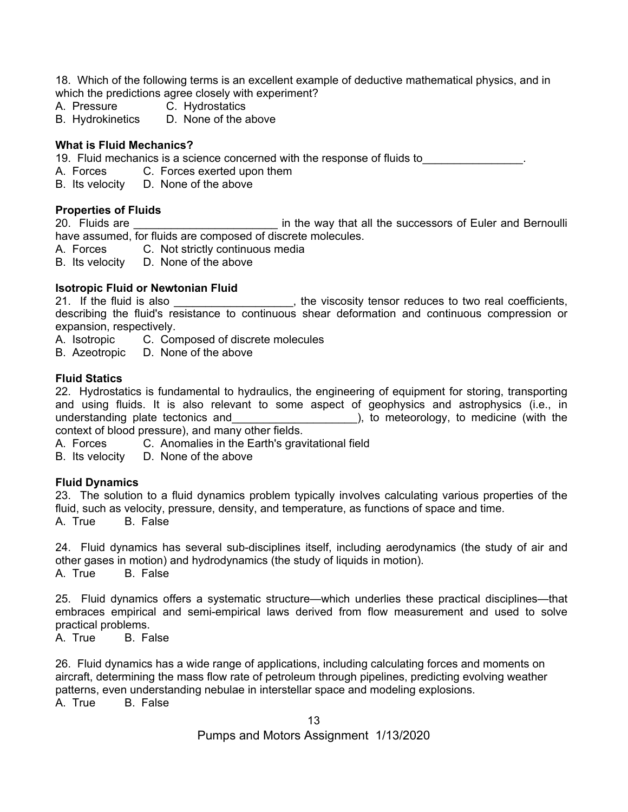18. Which of the following terms is an excellent example of deductive mathematical physics, and in which the predictions agree closely with experiment?

- A. Pressure C. Hydrostatics<br>B. Hydrokinetics D. None of the a
- D. None of the above

#### **What is Fluid Mechanics?**

19. Fluid mechanics is a science concerned with the response of fluids to\_\_\_\_\_\_\_\_\_\_\_\_\_\_\_\_.

A. Forces C. Forces exerted upon them

B. Its velocity D. None of the above

#### **Properties of Fluids**

20. Fluids are **Euler and Bernoulli** in the way that all the successors of Euler and Bernoulli have assumed, for fluids are composed of discrete molecules.

- A. Forces C. Not strictly continuous media
- B. Its velocity D. None of the above

### **Isotropic Fluid or Newtonian Fluid**

21. If the fluid is also \_\_\_\_\_\_\_\_\_\_\_\_\_\_\_, the viscosity tensor reduces to two real coefficients, describing the fluid's resistance to continuous shear deformation and continuous compression or expansion, respectively.

- A. Isotropic C. Composed of discrete molecules
- B. Azeotropic D. None of the above

#### **Fluid Statics**

22. Hydrostatics is fundamental to hydraulics, the engineering of equipment for storing, transporting and using fluids. It is also relevant to some aspect of geophysics and astrophysics (i.e., in understanding plate tectonics and\_\_\_\_\_\_\_\_\_\_\_\_\_\_\_\_\_\_\_\_), to meteorology, to medicine (with the context of blood pressure), and many other fields.

- A. Forces C. Anomalies in the Earth's gravitational field
- B. Its velocity D. None of the above

#### **Fluid Dynamics**

23. The solution to a fluid dynamics problem typically involves calculating various properties of the fluid, such as velocity, pressure, density, and temperature, as functions of space and time.

A. True B. False

24. Fluid dynamics has several sub-disciplines itself, including aerodynamics (the study of air and other gases in motion) and hydrodynamics (the study of liquids in motion).

A. True B. False

25. Fluid dynamics offers a systematic structure—which underlies these practical disciplines—that embraces empirical and semi-empirical laws derived from flow measurement and used to solve practical problems.

A. True B. False

26. Fluid dynamics has a wide range of applications, including calculating forces and moments on aircraft, determining the mass flow rate of petroleum through pipelines, predicting evolving weather patterns, even understanding nebulae in interstellar space and modeling explosions.

A. True B. False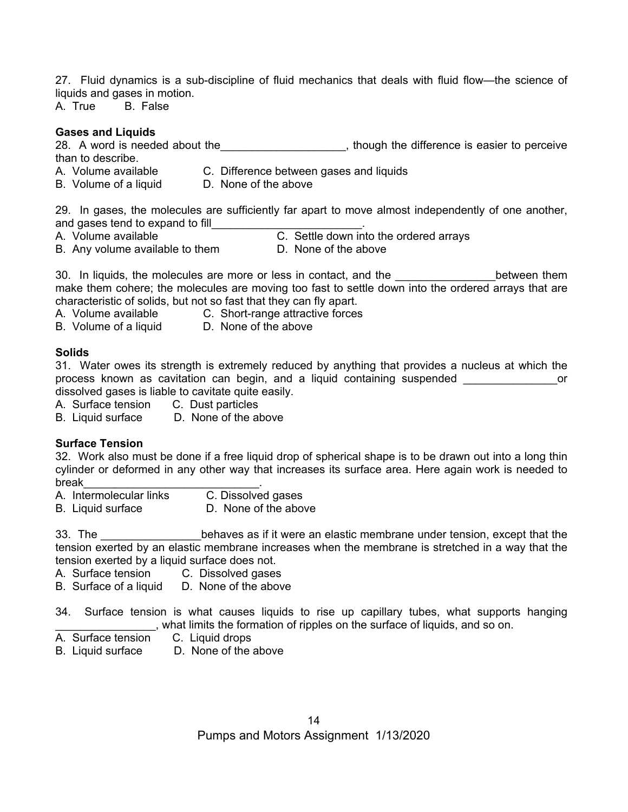27. Fluid dynamics is a sub-discipline of fluid mechanics that deals with fluid flow—the science of liquids and gases in motion.

A. True B. False

### **Gases and Liquids**

28. A word is needed about the\_\_\_\_\_\_\_\_\_\_\_\_\_\_\_\_\_\_\_\_\_, though the difference is easier to perceive than to describe.

- A. Volume available C. Difference between gases and liquids
- B. Volume of a liquid D. None of the above

29. In gases, the molecules are sufficiently far apart to move almost independently of one another, and gases tend to expand to fill

- A. Volume available C. Settle down into the ordered arrays
- B. Any volume available to them D. None of the above

30. In liquids, the molecules are more or less in contact, and the entity between them make them cohere; the molecules are moving too fast to settle down into the ordered arrays that are characteristic of solids, but not so fast that they can fly apart.

- A. Volume available C. Short-range attractive forces
- B. Volume of a liquid D. None of the above

#### **Solids**

31. Water owes its strength is extremely reduced by anything that provides a nucleus at which the process known as cavitation can begin, and a liquid containing suspended \_\_\_\_\_\_\_\_\_\_\_\_\_\_\_or dissolved gases is liable to cavitate quite easily.

A. Surface tension C. Dust particles

B. Liquid surface D. None of the above

#### **Surface Tension**

32. Work also must be done if a free liquid drop of spherical shape is to be drawn out into a long thin cylinder or deformed in any other way that increases its surface area. Here again work is needed to break\_\_\_\_\_\_\_\_\_\_\_\_\_\_\_\_\_\_\_\_\_\_\_\_\_\_\_\_.

- A. Intermolecular links
- B. Liquid surface D. None of the above

33. The **the sume of the behaves as if it were an elastic membrane under tension, except that the** tension exerted by an elastic membrane increases when the membrane is stretched in a way that the tension exerted by a liquid surface does not.

- A. Surface tension C. Dissolved gases
- B. Surface of a liquid D. None of the above

34. Surface tension is what causes liquids to rise up capillary tubes, what supports hanging \_\_\_\_\_\_\_\_\_\_\_\_\_\_\_\_, what limits the formation of ripples on the surface of liquids, and so on.

- A. Surface tension C. Liquid drops
- B. Liquid surface D. None of the above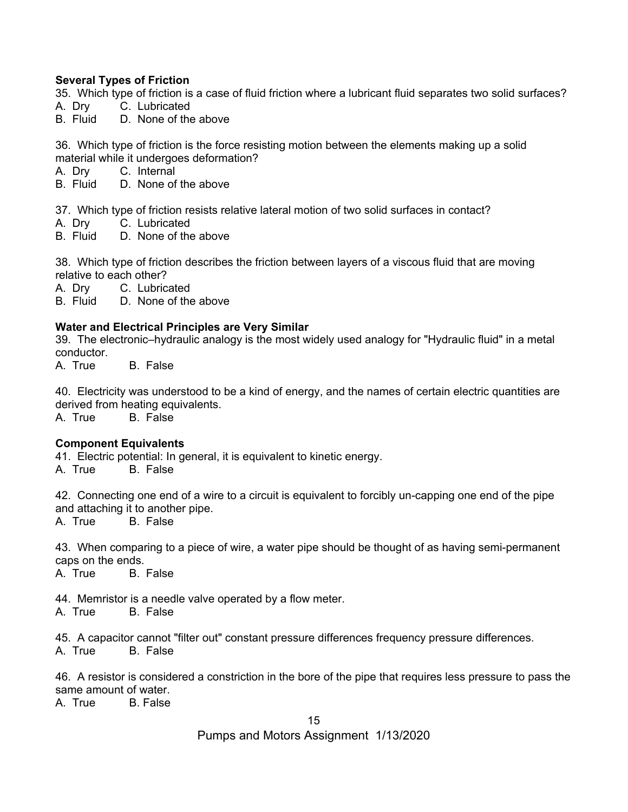#### **Several Types of Friction**

35. Which type of friction is a case of fluid friction where a lubricant fluid separates two solid surfaces?

A. Dry C. Lubricated<br>B. Fluid D. None of the

D. None of the above

36. Which type of friction is the force resisting motion between the elements making up a solid material while it undergoes deformation?

A. Dry C. Internal

B. Fluid D. None of the above

37. Which type of friction resists relative lateral motion of two solid surfaces in contact?

- A. Dry C. Lubricated
- B. Fluid D. None of the above

38. Which type of friction describes the friction between layers of a viscous fluid that are moving relative to each other?

A. Dry C. Lubricated

B. Fluid D. None of the above

#### **Water and Electrical Principles are Very Similar**

39. The electronic–hydraulic analogy is the most widely used analogy for "Hydraulic fluid" in a metal conductor.

A. True B. False

40. Electricity was understood to be a kind of energy, and the names of certain electric quantities are derived from heating equivalents.

A. True B. False

#### **Component Equivalents**

41. Electric potential: In general, it is equivalent to kinetic energy.

A. True B. False

42. Connecting one end of a wire to a circuit is equivalent to forcibly un-capping one end of the pipe and attaching it to another pipe.

A. True B. False

43. When comparing to a piece of wire, a water pipe should be thought of as having semi-permanent caps on the ends.

A. True B. False

44. Memristor is a needle valve operated by a flow meter.

A. True B. False

45. A capacitor cannot "filter out" constant pressure differences frequency pressure differences.

A. True B. False

46. A resistor is considered a constriction in the bore of the pipe that requires less pressure to pass the same amount of water.

A. True B. False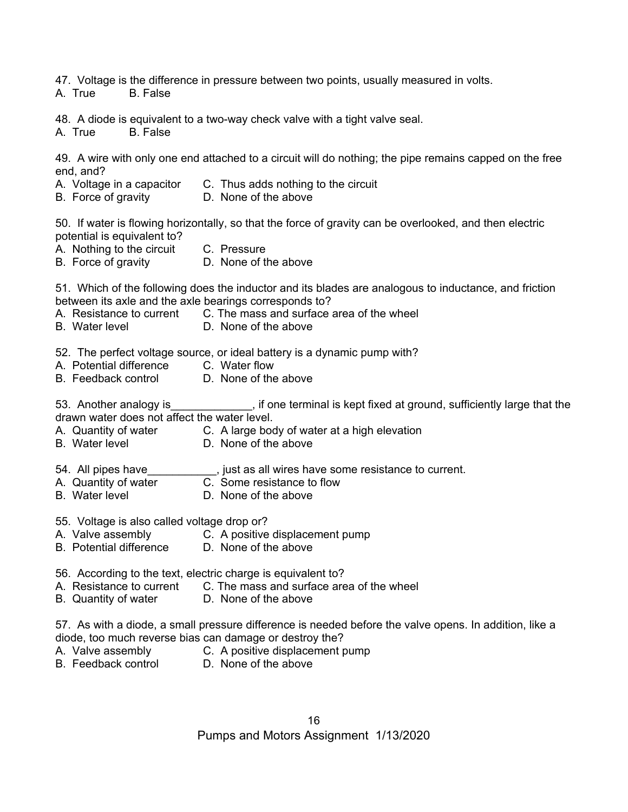47. Voltage is the difference in pressure between two points, usually measured in volts.

A. True B. False

48. A diode is equivalent to a two-way check valve with a tight valve seal.

A. True B. False

49. A wire with only one end attached to a circuit will do nothing; the pipe remains capped on the free end, and?

- A. Voltage in a capacitor C. Thus adds nothing to the circuit
- B. Force of gravity **D.** None of the above

50. If water is flowing horizontally, so that the force of gravity can be overlooked, and then electric potential is equivalent to?

- A. Nothing to the circuit C. Pressure
- B. Force of gravity D. None of the above

51. Which of the following does the inductor and its blades are analogous to inductance, and friction between its axle and the axle bearings corresponds to?

- A. Resistance to current C. The mass and surface area of the wheel
- B. Water level **D. None of the above**
- 52. The perfect voltage source, or ideal battery is a dynamic pump with?
- A. Potential difference C. Water flow
- B. Feedback control D. None of the above

53. Another analogy is example is the terminal is kept fixed at ground, sufficiently large that the drawn water does not affect the water level.

- A. Quantity of water **C.** A large body of water at a high elevation
- B. Water level **D. None of the above**
- 54. All pipes have surface is given by pisting and wires have some resistance to current.
- A. Quantity of water C. Some resistance to flow
- B. Water level D. None of the above
- 55. Voltage is also called voltage drop or?
- A. Valve assembly C. A positive displacement pump
- B. Potential difference D. None of the above
- 56. According to the text, electric charge is equivalent to?
- A. Resistance to current C. The mass and surface area of the wheel
- B. Quantity of water D. None of the above

57. As with a diode, a small pressure difference is needed before the valve opens. In addition, like a diode, too much reverse bias can damage or destroy the?

- A. Valve assembly C. A positive displacement pump
	-
- 
- B. Feedback control D. None of the above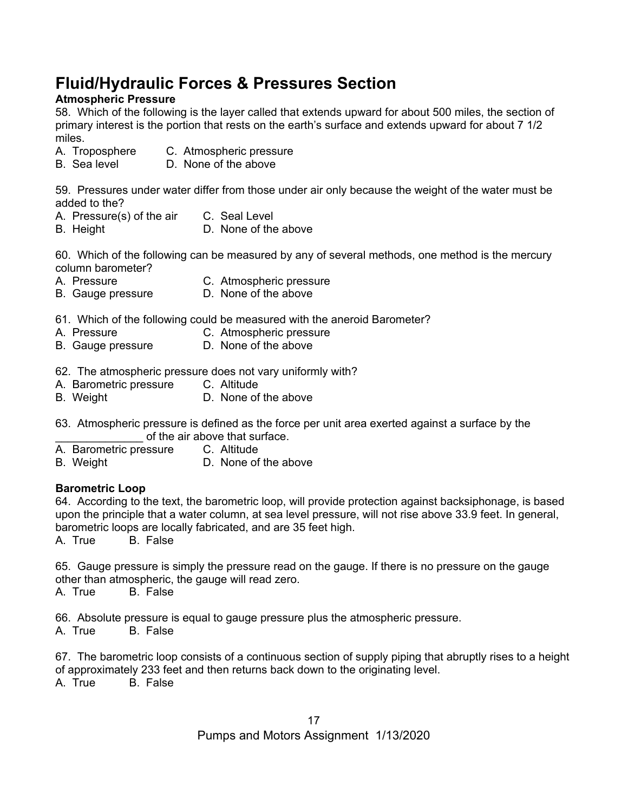# **Fluid/Hydraulic Forces & Pressures Section**

## **Atmospheric Pressure**

58. Which of the following is the layer called that extends upward for about 500 miles, the section of primary interest is the portion that rests on the earth's surface and extends upward for about 7 1/2 miles.

- A. Troposphere C. Atmospheric pressure
- B. Sea level D. None of the above

59. Pressures under water differ from those under air only because the weight of the water must be added to the?

- A. Pressure(s) of the air C. Seal Level
- B. Height D. None of the above

60. Which of the following can be measured by any of several methods, one method is the mercury column barometer?

- 
- A. Pressure C. Atmospheric pressure<br>B. Gauge pressure B. None of the above B. Gauge pressure
- 61. Which of the following could be measured with the aneroid Barometer?
- A. Pressure C. Atmospheric pressure
- B. Gauge pressure D. None of the above
- 62. The atmospheric pressure does not vary uniformly with?
- A. Barometric pressure C. Altitude
- B. Weight **D.** None of the above
- 63. Atmospheric pressure is defined as the force per unit area exerted against a surface by the of the air above that surface.<br>Example: C. Altitude
- 
- A. Barometric pressure<br>B. Weight D. None of the above

## **Barometric Loop**

64. According to the text, the barometric loop, will provide protection against backsiphonage, is based upon the principle that a water column, at sea level pressure, will not rise above 33.9 feet. In general, barometric loops are locally fabricated, and are 35 feet high.

A. True B. False

65. Gauge pressure is simply the pressure read on the gauge. If there is no pressure on the gauge other than atmospheric, the gauge will read zero.<br>A. True B. False

**B.** False

66. Absolute pressure is equal to gauge pressure plus the atmospheric pressure.

A. True B. False

67. The barometric loop consists of a continuous section of supply piping that abruptly rises to a height of approximately 233 feet and then returns back down to the originating level.

A. True B. False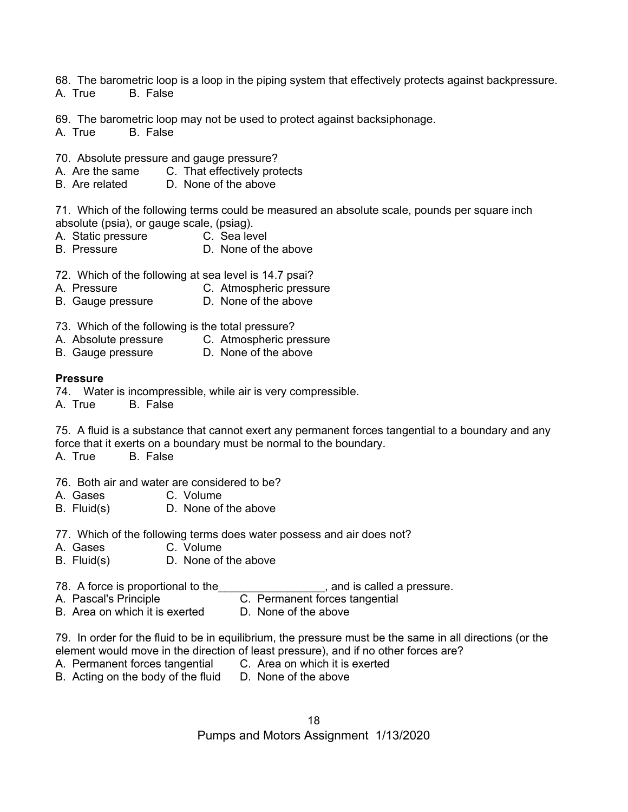68. The barometric loop is a loop in the piping system that effectively protects against backpressure.

- A. True B. False
- 69. The barometric loop may not be used to protect against backsiphonage.
- A. True B. False
- 70. Absolute pressure and gauge pressure?
- A. Are the same C. That effectively protects
- B. Are related D. None of the above

71. Which of the following terms could be measured an absolute scale, pounds per square inch absolute (psia), or gauge scale, (psiag).

- A. Static pressure C. Sea level
- B. Pressure **D. None of the above**
- 72. Which of the following at sea level is 14.7 psai?
- A. Pressure C. Atmospheric pressure
- B. Gauge pressure D. None of the above
- 73. Which of the following is the total pressure?
- A. Absolute pressure C. Atmospheric pressure
- B. Gauge pressure **D. None of the above**

#### **Pressure**

- 74. Water is incompressible, while air is very compressible.
- A. True B. False

75. A fluid is a substance that cannot exert any permanent forces tangential to a boundary and any force that it exerts on a boundary must be normal to the boundary.

A. True B. False

76. Both air and water are considered to be?

- A. Gases C. Volume
- B. Fluid(s) D. None of the above
- 77. Which of the following terms does water possess and air does not?
- A. Gases C. Volume
- B. Fluid(s) D. None of the above
- 78. A force is proportional to the same section of the set of the set of the set of the set of the set of the set of the set of the set of the set of the set of the set of the set of the set of the set of the set of the se
- A. Pascal's Principle **C. Permanent forces tangential**
- B. Area on which it is exerted D. None of the above

79. In order for the fluid to be in equilibrium, the pressure must be the same in all directions (or the element would move in the direction of least pressure), and if no other forces are?

- A. Permanent forces tangential C. Area on which it is exerted<br>B. Acting on the body of the fluid D. None of the above
- B. Acting on the body of the fluid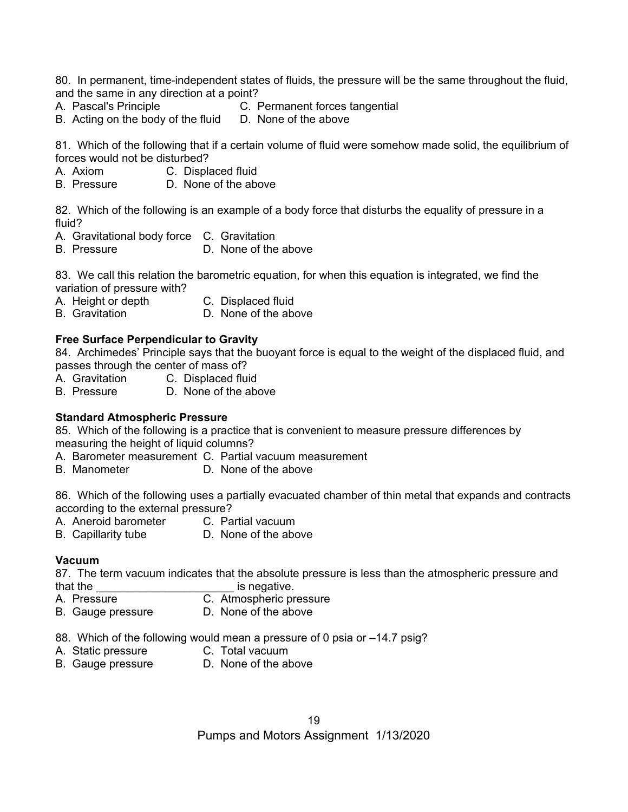80. In permanent, time-independent states of fluids, the pressure will be the same throughout the fluid, and the same in any direction at a point?

- A. Pascal's Principle C. Permanent forces tangential
- B. Acting on the body of the fluid D. None of the above

81. Which of the following that if a certain volume of fluid were somehow made solid, the equilibrium of forces would not be disturbed?

- A. Axiom C. Displaced fluid
- B. Pressure D. None of the above

82. Which of the following is an example of a body force that disturbs the equality of pressure in a fluid?

- A. Gravitational body force C. Gravitation
- B. Pressure D. None of the above

83. We call this relation the barometric equation, for when this equation is integrated, we find the variation of pressure with?

- A. Height or depth C. Displaced fluid
- B. Gravitation **D. None of the above**

#### **Free Surface Perpendicular to Gravity**

84. Archimedes' Principle says that the buoyant force is equal to the weight of the displaced fluid, and passes through the center of mass of?

- A. Gravitation C. Displaced fluid
- B. Pressure D. None of the above

#### **Standard Atmospheric Pressure**

85. Which of the following is a practice that is convenient to measure pressure differences by measuring the height of liquid columns?

- A. Barometer measurement C. Partial vacuum measurement
- B. Manometer D. None of the above

86. Which of the following uses a partially evacuated chamber of thin metal that expands and contracts according to the external pressure?

- A. Aneroid barometer C. Partial vacuum
- B. Capillarity tube D. None of the above

#### **Vacuum**

87. The term vacuum indicates that the absolute pressure is less than the atmospheric pressure and that the the state of the state of the state of the state of the state of the state of the state of the state o

- A. Pressure C. Atmospheric pressure<br>B. Gauge pressure D. None of the above
- B. Gauge pressure
- 88. Which of the following would mean a pressure of 0 psia or –14.7 psig?
- A. Static pressure C. Total vacuum
- 
- B. Gauge pressure D. None of the above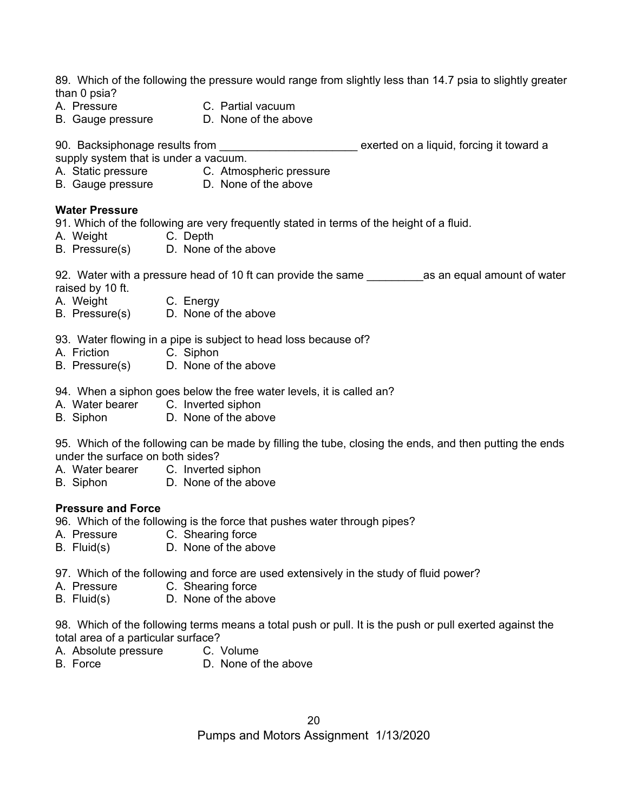89. Which of the following the pressure would range from slightly less than 14.7 psia to slightly greater than 0 psia?

- 
- A. Pressure C. Partial vacuum
- B. Gauge pressure D. None of the above
- 90. Backsiphonage results from exerted on a liquid, forcing it toward a

supply system that is under a vacuum.

- A. Static pressure C. Atmospheric pressure
- B. Gauge pressure D. None of the above

## **Water Pressure**

91. Which of the following are very frequently stated in terms of the height of a fluid.

- A. Weight C. Depth
- B. Pressure(s) D. None of the above

92. Water with a pressure head of 10 ft can provide the same <u>same</u> as an equal amount of water

- raised by 10 ft.
- A. Weight C. Energy
- B. Pressure(s) D. None of the above
- 93. Water flowing in a pipe is subject to head loss because of?
- A. Friction C. Siphon
- B. Pressure(s) D. None of the above
- 94. When a siphon goes below the free water levels, it is called an?
- A. Water bearer C. Inverted siphon
- B. Siphon D. None of the above

95. Which of the following can be made by filling the tube, closing the ends, and then putting the ends under the surface on both sides?

- A. Water bearer C. Inverted siphon
- B. Siphon D. None of the above

#### **Pressure and Force**

96. Which of the following is the force that pushes water through pipes?

- A. Pressure C. Shearing force
- B. Fluid(s) D. None of the above
- 97. Which of the following and force are used extensively in the study of fluid power?
- A. Pressure C. Shearing force
- B. Fluid(s) D. None of the above

98. Which of the following terms means a total push or pull. It is the push or pull exerted against the total area of a particular surface?

- A. Absolute pressure C. Volume
- B. Force D. None of the above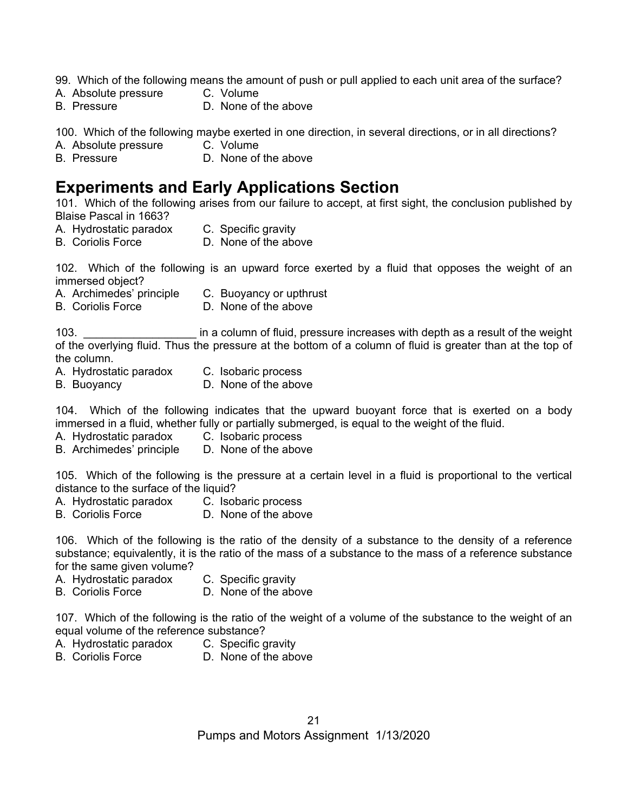- 99. Which of the following means the amount of push or pull applied to each unit area of the surface?
- A. Absolute pressure C. Volume
- B. Pressure D. None of the above

100. Which of the following maybe exerted in one direction, in several directions, or in all directions?

- A. Absolute pressure C. Volume
- 
- B. Pressure D. None of the above

# **Experiments and Early Applications Section**

101. Which of the following arises from our failure to accept, at first sight, the conclusion published by Blaise Pascal in 1663?

- A. Hydrostatic paradox C. Specific gravity
- B. Coriolis Force **D. None of the above**

102. Which of the following is an upward force exerted by a fluid that opposes the weight of an immersed object?

- A. Archimedes' principle C. Buoyancy or upthrust
- B. Coriolis Force D. None of the above

103. **Example 20 Terms in a column of fluid, pressure increases with depth as a result of the weight** of the overlying fluid. Thus the pressure at the bottom of a column of fluid is greater than at the top of the column.

- A. Hydrostatic paradox C. Isobaric process
- B. Buoyancy D. None of the above

104. Which of the following indicates that the upward buoyant force that is exerted on a body immersed in a fluid, whether fully or partially submerged, is equal to the weight of the fluid.

- A. Hydrostatic paradox C. Isobaric process
- B. Archimedes' principle D. None of the above

105. Which of the following is the pressure at a certain level in a fluid is proportional to the vertical distance to the surface of the liquid?

- A. Hydrostatic paradox C. Isobaric process
- B. Coriolis Force D. None of the above

106. Which of the following is the ratio of the density of a substance to the density of a reference substance; equivalently, it is the ratio of the mass of a substance to the mass of a reference substance for the same given volume?

- A. Hydrostatic paradox C. Specific gravity<br>B. Coriolis Force B. None of the abo
- D. None of the above

107. Which of the following is the ratio of the weight of a volume of the substance to the weight of an equal volume of the reference substance?

- A. Hydrostatic paradox C. Specific gravity
- B. Coriolis Force D. None of the above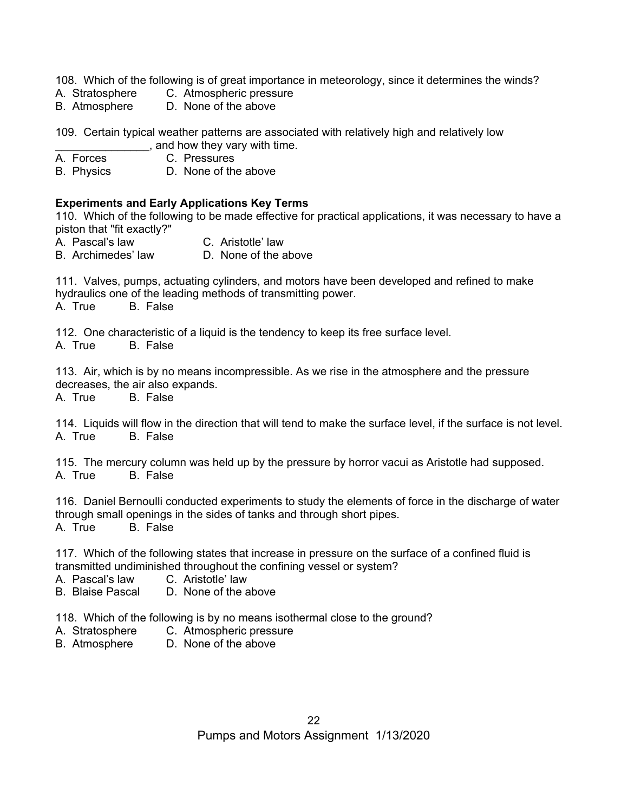108. Which of the following is of great importance in meteorology, since it determines the winds?

- A. Stratosphere C. Atmospheric pressure
- B. Atmosphere D. None of the above

109. Certain typical weather patterns are associated with relatively high and relatively low

- **1201**, and how they vary with time.
- A. Forces C. Pressures
- B. Physics D. None of the above

### **Experiments and Early Applications Key Terms**

110. Which of the following to be made effective for practical applications, it was necessary to have a piston that "fit exactly?"

- A. Pascal's law C. Aristotle' law
- B. Archimedes' law D. None of the above

111. Valves, pumps, actuating cylinders, and motors have been developed and refined to make hydraulics one of the leading methods of transmitting power. A. True B. False

112. One characteristic of a liquid is the tendency to keep its free surface level.

A. True B. False

113. Air, which is by no means incompressible. As we rise in the atmosphere and the pressure decreases, the air also expands.

A. True B. False

114. Liquids will flow in the direction that will tend to make the surface level, if the surface is not level. A. True B. False

115. The mercury column was held up by the pressure by horror vacui as Aristotle had supposed. A. True B. False

116. Daniel Bernoulli conducted experiments to study the elements of force in the discharge of water through small openings in the sides of tanks and through short pipes. A. True B. False

117. Which of the following states that increase in pressure on the surface of a confined fluid is transmitted undiminished throughout the confining vessel or system?

- A. Pascal's law C. Aristotle' law<br>B. Blaise Pascal D. None of the a
- D. None of the above

118. Which of the following is by no means isothermal close to the ground?

- A. Stratosphere C. Atmospheric pressure
- B. Atmosphere D. None of the above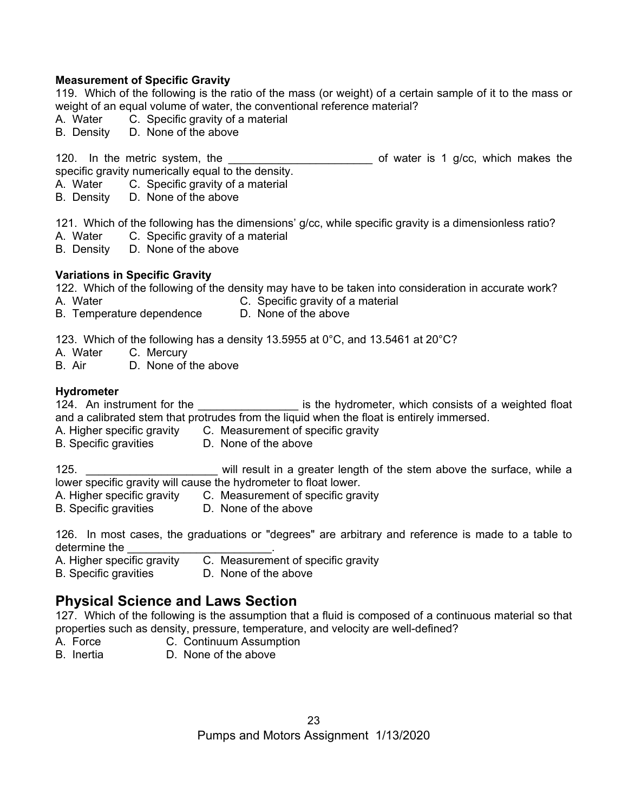#### **Measurement of Specific Gravity**

119. Which of the following is the ratio of the mass (or weight) of a certain sample of it to the mass or weight of an equal volume of water, the conventional reference material?

- A. Water C. Specific gravity of a material
- B. Density D. None of the above

120. In the metric system, the the set of water is 1 g/cc, which makes the specific gravity numerically equal to the density.

A. Water C. Specific gravity of a material

B. Density D. None of the above

121. Which of the following has the dimensions' g/cc, while specific gravity is a dimensionless ratio?

- A. Water C. Specific gravity of a material
- B. Density D. None of the above

### **Variations in Specific Gravity**

122. Which of the following of the density may have to be taken into consideration in accurate work? A. Water C. Specific gravity of a material<br>B. Temperature dependence D. None of the above

B. Temperature dependence

123. Which of the following has a density 13.5955 at 0°C, and 13.5461 at 20°C?

- A. Water C. Mercury
- B. Air D. None of the above

#### **Hydrometer**

124. An instrument for the \_\_\_\_\_\_\_\_\_\_\_\_\_\_\_\_\_\_\_ is the hydrometer, which consists of a weighted float and a calibrated stem that protrudes from the liquid when the float is entirely immersed.

A. Higher specific gravity C. Measurement of specific gravity

B. Specific gravities D. None of the above

125. **Example 125.** The step will result in a greater length of the stem above the surface, while a lower specific gravity will cause the hydrometer to float lower.

- A. Higher specific gravity C. Measurement of specific gravity<br>B. Specific gravities D. None of the above
	- D. None of the above

126. In most cases, the graduations or "degrees" are arbitrary and reference is made to a table to determine the

- A. Higher specific gravity C. Measurement of specific gravity
- B. Specific gravities D. None of the above

## **Physical Science and Laws Section**

127. Which of the following is the assumption that a fluid is composed of a continuous material so that properties such as density, pressure, temperature, and velocity are well-defined?

- A. Force **C. Continuum Assumption**<br>B. Inertia **D. None of the above**
- D. None of the above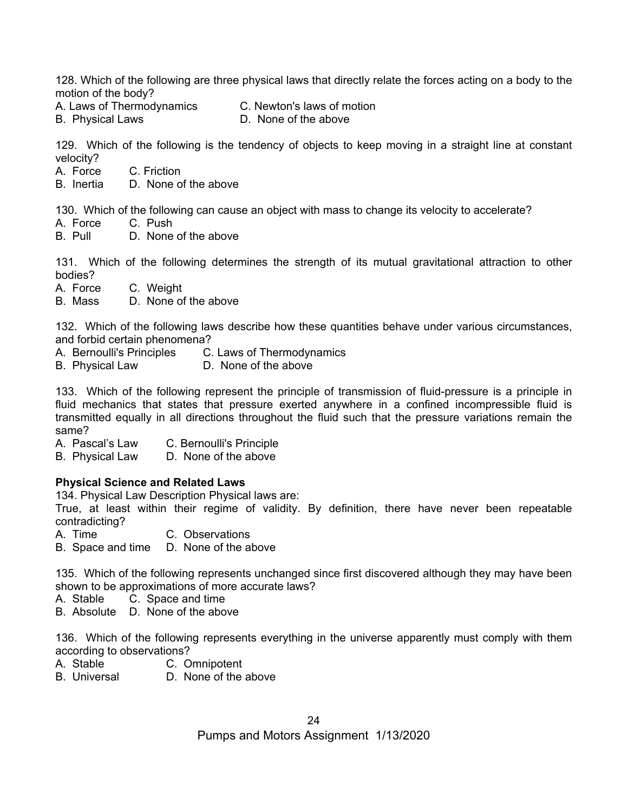128. Which of the following are three physical laws that directly relate the forces acting on a body to the motion of the body?

- A. Laws of Thermodynamics C. Newton's laws of motion
- B. Physical Laws D. None of the above

129. Which of the following is the tendency of objects to keep moving in a straight line at constant velocity?

- A. Force C. Friction
- B. Inertia D. None of the above

130. Which of the following can cause an object with mass to change its velocity to accelerate?

- A. Force C. Push
- B. Pull D. None of the above

131. Which of the following determines the strength of its mutual gravitational attraction to other bodies?

A. Force C. Weight

B. Mass D. None of the above

132. Which of the following laws describe how these quantities behave under various circumstances, and forbid certain phenomena?

- A. Bernoulli's Principles C. Laws of Thermodynamics
- B. Physical Law D. None of the above

133. Which of the following represent the principle of transmission of fluid-pressure is a principle in fluid mechanics that states that pressure exerted anywhere in a confined incompressible fluid is transmitted equally in all directions throughout the fluid such that the pressure variations remain the same?

A. Pascal's Law C. Bernoulli's Principle

B. Physical Law D. None of the above

#### **Physical Science and Related Laws**

134. Physical Law Description Physical laws are:

True, at least within their regime of validity. By definition, there have never been repeatable contradicting?

A. Time C. Observations

B. Space and time D. None of the above

135. Which of the following represents unchanged since first discovered although they may have been shown to be approximations of more accurate laws?

A. Stable C. Space and time

B. Absolute D. None of the above

136. Which of the following represents everything in the universe apparently must comply with them according to observations?

- A. Stable C. Omnipotent
- B. Universal D. None of the above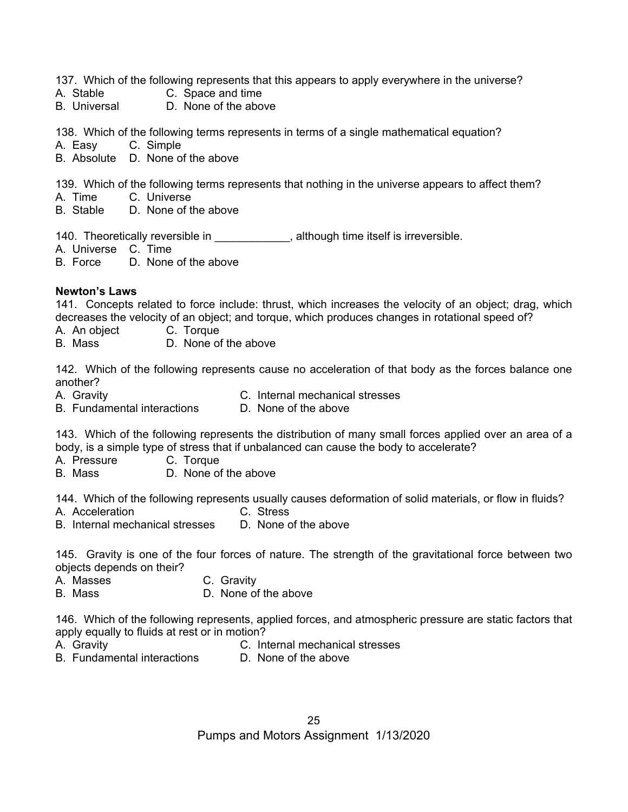137. Which of the following represents that this appears to apply everywhere in the universe?

- A. Stable C. Space and time
- B. Universal D. None of the above

138. Which of the following terms represents in terms of a single mathematical equation?

A. Easy C. Simple

B. Absolute D. None of the above

139. Which of the following terms represents that nothing in the universe appears to affect them?

- A. Time C. Universe
- B. Stable D. None of the above

140. Theoretically reversible in \_\_\_\_\_\_\_\_\_\_\_, although time itself is irreversible.

A. Universe C. Time

B. Force D. None of the above

#### **Newton's Laws**

141. Concepts related to force include: thrust, which increases the velocity of an object; drag, which decreases the velocity of an object; and torque, which produces changes in rotational speed of?

- A. An object C. Torque
- B. Mass D. None of the above

142. Which of the following represents cause no acceleration of that body as the forces balance one another?

- A. Gravity C. Internal mechanical stresses
- B. Fundamental interactions D. None of the above

143. Which of the following represents the distribution of many small forces applied over an area of a body, is a simple type of stress that if unbalanced can cause the body to accelerate?

- A. Pressure C. Torque
- B. Mass D. None of the above

144. Which of the following represents usually causes deformation of solid materials, or flow in fluids?

- A. Acceleration C. Stress
- B. Internal mechanical stresses D. None of the above

145. Gravity is one of the four forces of nature. The strength of the gravitational force between two objects depends on their?

- A. Masses C. Gravity
- B. Mass D. None of the above

146. Which of the following represents, applied forces, and atmospheric pressure are static factors that apply equally to fluids at rest or in motion?

- 
- A. Gravity C. Internal mechanical stresses
- B. Fundamental interactions D. None of the above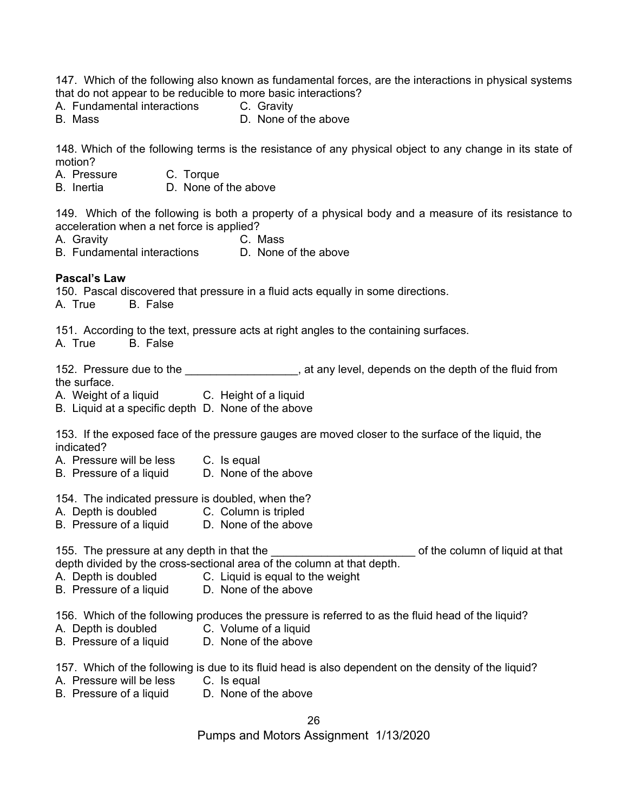147. Which of the following also known as fundamental forces, are the interactions in physical systems that do not appear to be reducible to more basic interactions?

A. Fundamental interactions C. Gravity

B. Mass **D. None of the above** 

148. Which of the following terms is the resistance of any physical object to any change in its state of motion?

- A. Pressure C. Torque
- B. Inertia D. None of the above

149. Which of the following is both a property of a physical body and a measure of its resistance to acceleration when a net force is applied?

- A. Gravity C. Mass
- B. Fundamental interactions D. None of the above

#### **Pascal's Law**

150. Pascal discovered that pressure in a fluid acts equally in some directions.

A. True B. False

151. According to the text, pressure acts at right angles to the containing surfaces.

A. True B. False

152. Pressure due to the **the contract of the set of the fluid from** the depth of the fluid from the surface.

A. Weight of a liquid C. Height of a liquid

B. Liquid at a specific depth D. None of the above

153. If the exposed face of the pressure gauges are moved closer to the surface of the liquid, the indicated?

- A. Pressure will be less C. Is equal
- B. Pressure of a liquid D. None of the above
- 154. The indicated pressure is doubled, when the?
- A. Depth is doubled C. Column is tripled
- B. Pressure of a liquid D. None of the above

155. The pressure at any depth in that the **the column of liquid at that** depth divided by the cross-sectional area of the column at that depth.

- A. Depth is doubled C. Liquid is equal to the weight
- B. Pressure of a liquid D. None of the above

156. Which of the following produces the pressure is referred to as the fluid head of the liquid?

- A. Depth is doubled C. Volume of a liquid
	-
- B. Pressure of a liquid D. None of the above

157. Which of the following is due to its fluid head is also dependent on the density of the liquid?

- A. Pressure will be less C. Is equal
- B. Pressure of a liquid D. None of the above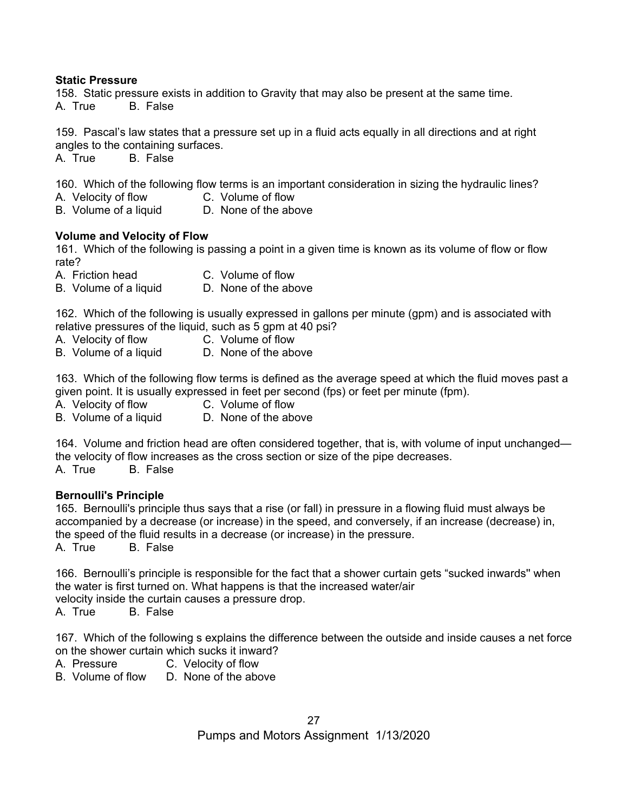#### **Static Pressure**

158. Static pressure exists in addition to Gravity that may also be present at the same time. A. True B. False

159. Pascal's law states that a pressure set up in a fluid acts equally in all directions and at right angles to the containing surfaces.

A. True B. False

160. Which of the following flow terms is an important consideration in sizing the hydraulic lines?

A. Velocity of flow C. Volume of flow<br>B. Volume of a liquid D. None of the above B. Volume of a liquid

#### **Volume and Velocity of Flow**

161. Which of the following is passing a point in a given time is known as its volume of flow or flow rate?

- A. Friction head C. Volume of flow
- B. Volume of a liquid D. None of the above

162. Which of the following is usually expressed in gallons per minute (gpm) and is associated with relative pressures of the liquid, such as 5 gpm at 40 psi?

- A. Velocity of flow C. Volume of flow
	-
- B. Volume of a liquid D. None of the above

163. Which of the following flow terms is defined as the average speed at which the fluid moves past a given point. It is usually expressed in feet per second (fps) or feet per minute (fpm).

A. Velocity of flow C. Volume of flow

B. Volume of a liquid D. None of the above

164. Volume and friction head are often considered together, that is, with volume of input unchanged the velocity of flow increases as the cross section or size of the pipe decreases.

A. True B. False

#### **Bernoulli's Principle**

165. Bernoulli's principle thus says that a rise (or fall) in pressure in a flowing fluid must always be accompanied by a decrease (or increase) in the speed, and conversely, if an increase (decrease) in, the speed of the fluid results in a decrease (or increase) in the pressure.

A. True B. False

166. Bernoulli's principle is responsible for the fact that a shower curtain gets "sucked inwards'' when the water is first turned on. What happens is that the increased water/air velocity inside the curtain causes a pressure drop.

A. True B. False

167. Which of the following s explains the difference between the outside and inside causes a net force on the shower curtain which sucks it inward?

- A. Pressure C. Velocity of flow
- B. Volume of flow D. None of the above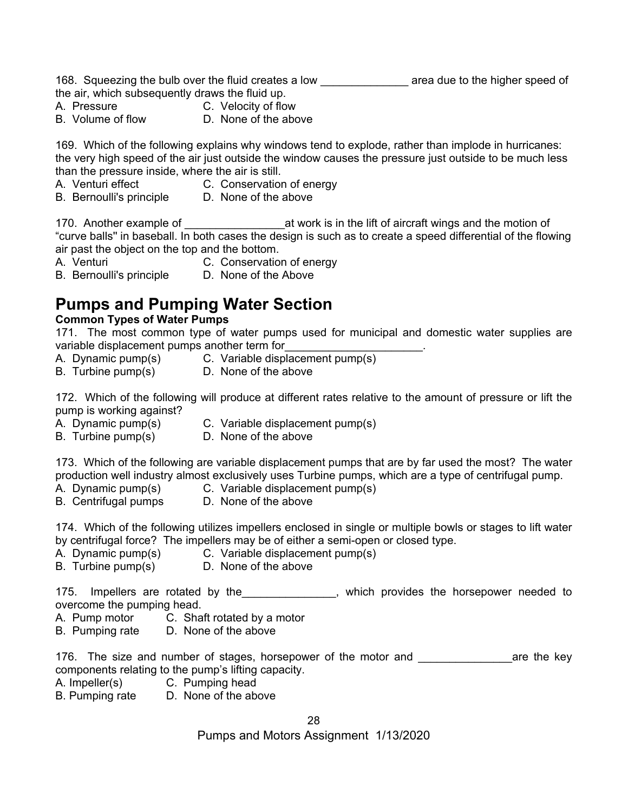168. Squeezing the bulb over the fluid creates a low \_\_\_\_\_\_\_\_\_\_\_\_\_\_\_\_\_ area due to the higher speed of the air, which subsequently draws the fluid up.

- A. Pressure C. Velocity of flow<br>
B. Volume of flow B. None of the abo
- 
- 
- D. None of the above

169. Which of the following explains why windows tend to explode, rather than implode in hurricanes: the very high speed of the air just outside the window causes the pressure just outside to be much less than the pressure inside, where the air is still.

- A. Venturi effect C. Conservation of energy
- B. Bernoulli's principle D. None of the above

170. Another example of \_\_\_\_\_\_\_\_\_\_\_\_\_\_\_\_at work is in the lift of aircraft wings and the motion of "curve balls'' in baseball. In both cases the design is such as to create a speed differential of the flowing air past the object on the top and the bottom.

- A. Venturi C. Conservation of energy
- B. Bernoulli's principle D. None of the Above

# **Pumps and Pumping Water Section**

## **Common Types of Water Pumps**

171. The most common type of water pumps used for municipal and domestic water supplies are variable displacement pumps another term for

- 
- A. Dynamic pump(s) C. Variable displacement pump(s)
- B. Turbine pump(s) D. None of the above

172. Which of the following will produce at different rates relative to the amount of pressure or lift the pump is working against?

- A. Dynamic pump(s) C. Variable displacement pump(s)
	-
- B. Turbine pump(s) D. None of the above

173. Which of the following are variable displacement pumps that are by far used the most? The water production well industry almost exclusively uses Turbine pumps, which are a type of centrifugal pump. A. Dynamic pump(s) C. Variable displacement pump(s)

- 
- B. Centrifugal pumps D. None of the above

174. Which of the following utilizes impellers enclosed in single or multiple bowls or stages to lift water by centrifugal force? The impellers may be of either a semi-open or closed type.

- A. Dynamic pump(s) C. Variable displacement pump(s)
- B. Turbine pump(s) D. None of the above

175. Impellers are rotated by the the state of the horsepower needed to overcome the pumping head.

- A. Pump motor C. Shaft rotated by a motor
- B. Pumping rate D. None of the above

176. The size and number of stages, horsepower of the motor and **the sexual and** are the key components relating to the pump's lifting capacity.

- A. Impeller(s) C. Pumping head
- B. Pumping rate D. None of the above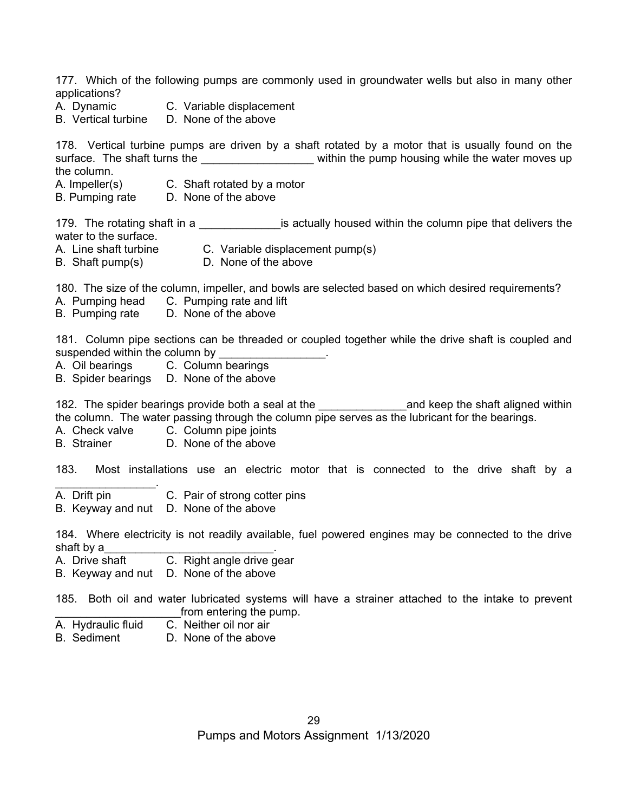177. Which of the following pumps are commonly used in groundwater wells but also in many other applications?

- A. Dynamic C. Variable displacement
- B. Vertical turbine D. None of the above

178. Vertical turbine pumps are driven by a shaft rotated by a motor that is usually found on the surface. The shaft turns the **Example 20** within the pump housing while the water moves up the column.

A. Impeller(s) C. Shaft rotated by a motor

B. Pumping rate D. None of the above

179. The rotating shaft in a **Example 20** is actually housed within the column pipe that delivers the water to the surface.

- A. Line shaft turbine C. Variable displacement pump(s)
- B. Shaft pump(s) D. None of the above

180. The size of the column, impeller, and bowls are selected based on which desired requirements?

- A. Pumping head C. Pumping rate and lift
- B. Pumping rate D. None of the above

181. Column pipe sections can be threaded or coupled together while the drive shaft is coupled and suspended within the column by

- A. Oil bearings C. Column bearings
- B. Spider bearings D. None of the above

182. The spider bearings provide both a seal at the **constrained and keep the shaft aligned within** the column. The water passing through the column pipe serves as the lubricant for the bearings.

- A. Check valve C. Column pipe joints
- B. Strainer D. None of the above

183. Most installations use an electric motor that is connected to the drive shaft by a

- $\mathcal{L}_\text{max}$  . The set of the set of the set of the set of the set of the set of the set of the set of the set of the set of the set of the set of the set of the set of the set of the set of the set of the set of the set A. Drift pin C. Pair of strong cotter pins
- B. Keyway and nut D. None of the above

184. Where electricity is not readily available, fuel powered engines may be connected to the drive shaft by a

- A. Drive shaft C. Right angle drive gear
- B. Keyway and nut D. None of the above

185. Both oil and water lubricated systems will have a strainer attached to the intake to prevent from entering the pump.

- A. Hydraulic fluid C. Neither oil nor air
- B. Sediment D. None of the above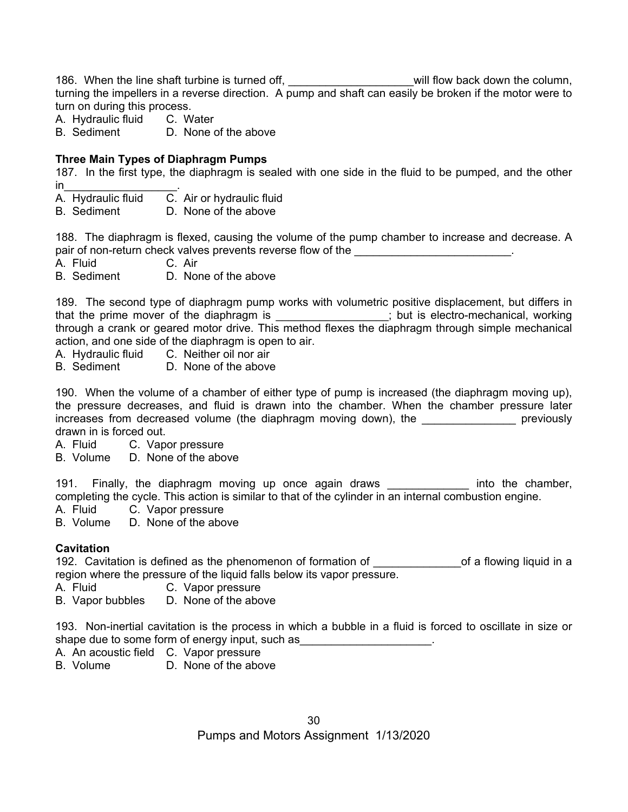186. When the line shaft turbine is turned off, \_\_\_\_\_\_\_\_\_\_\_\_\_\_\_\_\_\_\_\_\_\_\_\_\_will flow back down the column, turning the impellers in a reverse direction. A pump and shaft can easily be broken if the motor were to turn on during this process.

- A. Hydraulic fluid C. Water<br>B. Sediment D. None of
- D. None of the above

### **Three Main Types of Diaphragm Pumps**

187. In the first type, the diaphragm is sealed with one side in the fluid to be pumped, and the other  $in$ 

- A. Hydraulic fluid C. Air or hydraulic fluid
- B. Sediment D. None of the above

188. The diaphragm is flexed, causing the volume of the pump chamber to increase and decrease. A pair of non-return check valves prevents reverse flow of the  $\blacksquare$ 

- A. Fluid C. Air
- B. Sediment D. None of the above

189. The second type of diaphragm pump works with volumetric positive displacement, but differs in that the prime mover of the diaphragm is  $\qquad \qquad ;$  but is electro-mechanical, working through a crank or geared motor drive. This method flexes the diaphragm through simple mechanical action, and one side of the diaphragm is open to air.

- A. Hydraulic fluid C. Neither oil nor air<br>B. Sediment D. None of the above
- D. None of the above

190. When the volume of a chamber of either type of pump is increased (the diaphragm moving up), the pressure decreases, and fluid is drawn into the chamber. When the chamber pressure later increases from decreased volume (the diaphragm moving down), the **previously** drawn in is forced out.

- A. Fluid C. Vapor pressure
- B. Volume D. None of the above

191. Finally, the diaphragm moving up once again draws **the chamber**, completing the cycle. This action is similar to that of the cylinder in an internal combustion engine.

- A. Fluid C. Vapor pressure
- B. Volume D. None of the above

## **Cavitation**

192. Cavitation is defined as the phenomenon of formation of \_\_\_\_\_\_\_\_\_\_\_\_\_\_\_\_of a flowing liquid in a region where the pressure of the liquid falls below its vapor pressure.

- A. Fluid C. Vapor pressure
- B. Vapor bubbles D. None of the above

193. Non-inertial cavitation is the process in which a bubble in a fluid is forced to oscillate in size or shape due to some form of energy input, such as \_\_\_\_\_\_\_\_\_\_\_\_\_\_\_\_\_\_\_\_\_\_.

- A. An acoustic field C. Vapor pressure
- B. Volume D. None of the above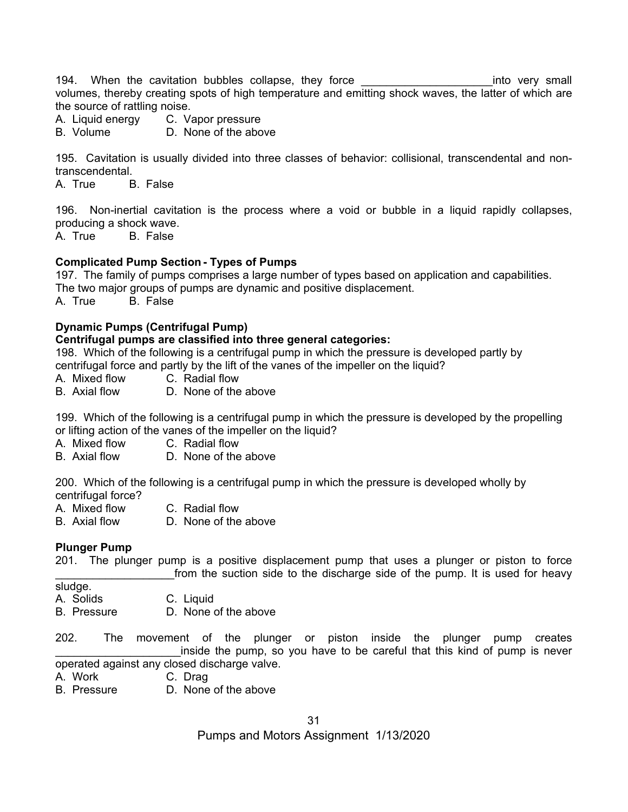194. When the cavitation bubbles collapse, they force **the contact of the solution of the case** into very small volumes, thereby creating spots of high temperature and emitting shock waves, the latter of which are the source of rattling noise.

- A. Liquid energy C. Vapor pressure
- B. Volume D. None of the above

195. Cavitation is usually divided into three classes of behavior: collisional, transcendental and nontranscendental.

A. True B. False

196. Non-inertial cavitation is the process where a void or bubble in a liquid rapidly collapses, producing a shock wave.

A. True B. False

#### **Complicated Pump Section - Types of Pumps**

197. The family of pumps comprises a large number of types based on application and capabilities. The two major groups of pumps are dynamic and positive displacement. A. True B. False

#### **Dynamic Pumps (Centrifugal Pump)**

#### **Centrifugal pumps are classified into three general categories:**

198. Which of the following is a centrifugal pump in which the pressure is developed partly by centrifugal force and partly by the lift of the vanes of the impeller on the liquid?

- A. Mixed flow C. Radial flow<br>B. Axial flow D. None of the
- D. None of the above

199. Which of the following is a centrifugal pump in which the pressure is developed by the propelling or lifting action of the vanes of the impeller on the liquid?

- A. Mixed flow C. Radial flow
- B. Axial flow D. None of the above

200. Which of the following is a centrifugal pump in which the pressure is developed wholly by centrifugal force?<br>A. Mixed flow

- C. Radial flow
- B. Axial flow D. None of the above

#### **Plunger Pump**

201. The plunger pump is a positive displacement pump that uses a plunger or piston to force from the suction side to the discharge side of the pump. It is used for heavy

sludge.

- 
- A. Solids C. Liquid<br>
B. Pressure D. None D. None of the above

202. The movement of the plunger or piston inside the plunger pump creates inside the pump, so you have to be careful that this kind of pump is never operated against any closed discharge valve.

- A. Work C. Drag
- B. Pressure D. None of the above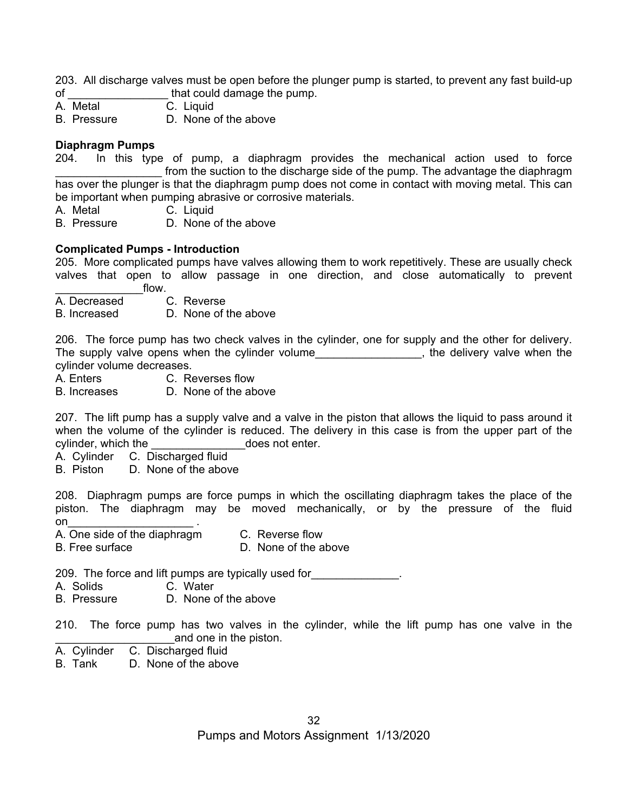203. All discharge valves must be open before the plunger pump is started, to prevent any fast build-up of that could damage the pump.

A. Metal C. Liquid

B. Pressure D. None of the above

#### **Diaphragm Pumps**

204. In this type of pump, a diaphragm provides the mechanical action used to force from the suction to the discharge side of the pump. The advantage the diaphragm has over the plunger is that the diaphragm pump does not come in contact with moving metal. This can be important when pumping abrasive or corrosive materials.

A. Metal C. Liquid

B. Pressure D. None of the above

#### **Complicated Pumps - Introduction**

205. More complicated pumps have valves allowing them to work repetitively. These are usually check valves that open to allow passage in one direction, and close automatically to prevent flow.

A. Decreased C. Reverse

B. Increased D. None of the above

206. The force pump has two check valves in the cylinder, one for supply and the other for delivery. The supply valve opens when the cylinder volume\_\_\_\_\_\_\_\_\_\_\_\_\_\_\_\_, the delivery valve when the cylinder volume decreases.<br>A. Enters (C. Re

- C. Reverses flow
- B. Increases D. None of the above

207. The lift pump has a supply valve and a valve in the piston that allows the liquid to pass around it when the volume of the cylinder is reduced. The delivery in this case is from the upper part of the cylinder, which the does not enter.

A. Cylinder C. Discharged fluid

B. Piston D. None of the above

208. Diaphragm pumps are force pumps in which the oscillating diaphragm takes the place of the piston. The diaphragm may be moved mechanically, or by the pressure of the fluid on  $\overline{\phantom{a}}$  .

A. One side of the diaphragm C. Reverse flow

B. Free surface D. None of the above

209. The force and lift pumps are typically used for\_\_\_\_\_\_\_\_\_\_\_\_\_\_.

A. Solids C. Water

B. Pressure D. None of the above

210. The force pump has two valves in the cylinder, while the lift pump has one valve in the \_\_\_\_\_\_\_\_\_\_\_\_\_\_\_\_\_\_\_and one in the piston.

A. Cylinder C. Discharged fluid

B. Tank D. None of the above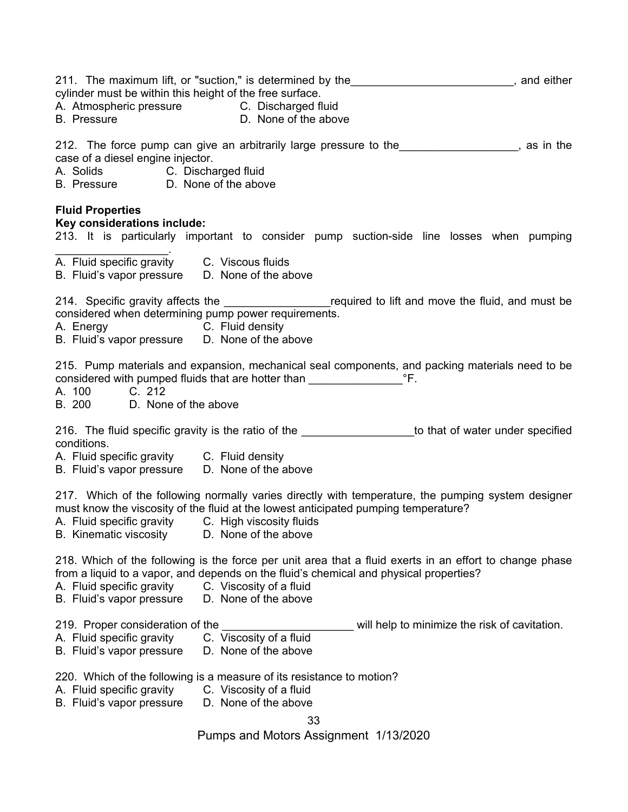| cylinder must be within this height of the free surface.<br>A. Atmospheric pressure C. Discharged fluid<br>B. Pressure D. None of the above | 211. The maximum lift, or "suction," is determined by the <b>contained as a set of the container</b> , and either                                                                                                                                    |  |
|---------------------------------------------------------------------------------------------------------------------------------------------|------------------------------------------------------------------------------------------------------------------------------------------------------------------------------------------------------------------------------------------------------|--|
| case of a diesel engine injector.<br>A. Solids C. Discharged fluid<br>B. Pressure D. None of the above                                      | 212. The force pump can give an arbitrarily large pressure to the __________________, as in the                                                                                                                                                      |  |
| <b>Fluid Properties</b><br>Key considerations include:                                                                                      | 213. It is particularly important to consider pump suction-side line losses when pumping                                                                                                                                                             |  |
| A. Fluid specific gravity C. Viscous fluids<br>B. Fluid's vapor pressure D. None of the above                                               |                                                                                                                                                                                                                                                      |  |
| considered when determining pump power requirements.<br>A. Energy<br>B. Fluid's vapor pressure D. None of the above                         | 214. Specific gravity affects the <b>constant of the constant of the fluid</b> and move the fluid, and must be                                                                                                                                       |  |
| A. 100 C. 212<br>B. 200 D. None of the above                                                                                                | 215. Pump materials and expansion, mechanical seal components, and packing materials need to be<br>considered with pumped fluids that are hotter than summary set.                                                                                   |  |
| conditions.                                                                                                                                 | 216. The fluid specific gravity is the ratio of the ___________________to that of water under specified                                                                                                                                              |  |
| A. Fluid specific gravity C. Fluid density<br>B. Fluid's vapor pressure D. None of the above                                                |                                                                                                                                                                                                                                                      |  |
| A. Fluid specific gravity C. High viscosity fluids<br><b>B.</b> Kinematic viscosity                                                         | 217. Which of the following normally varies directly with temperature, the pumping system designer<br>must know the viscosity of the fluid at the lowest anticipated pumping temperature?<br>D. None of the above                                    |  |
| A. Fluid specific gravity<br>B. Fluid's vapor pressure                                                                                      | 218. Which of the following is the force per unit area that a fluid exerts in an effort to change phase<br>from a liquid to a vapor, and depends on the fluid's chemical and physical properties?<br>C. Viscosity of a fluid<br>D. None of the above |  |
| 219. Proper consideration of the<br>A. Fluid specific gravity<br>B. Fluid's vapor pressure                                                  | will help to minimize the risk of cavitation.<br>C. Viscosity of a fluid<br>D. None of the above                                                                                                                                                     |  |
| A. Fluid specific gravity<br>B. Fluid's vapor pressure                                                                                      | 220. Which of the following is a measure of its resistance to motion?<br>C. Viscosity of a fluid<br>D. None of the above<br>33                                                                                                                       |  |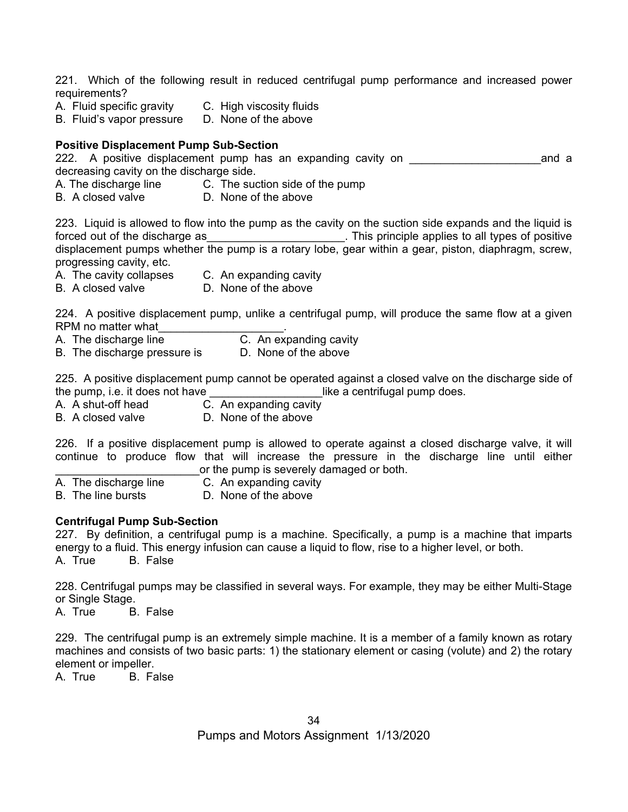221. Which of the following result in reduced centrifugal pump performance and increased power requirements?

- 
- A. Fluid specific gravity C. High viscosity fluids<br>B. Fluid's vapor pressure D. None of the above
- B. Fluid's vapor pressure

#### **Positive Displacement Pump Sub-Section**

222. A positive displacement pump has an expanding cavity on **Example 2018** and a decreasing cavity on the discharge side.

- A. The discharge line C. The suction side of the pump
- B. A closed valve **D.** None of the above

223. Liquid is allowed to flow into the pump as the cavity on the suction side expands and the liquid is forced out of the discharge as **Exercise 20** This principle applies to all types of positive displacement pumps whether the pump is a rotary lobe, gear within a gear, piston, diaphragm, screw, progressing cavity, etc.

- A. The cavity collapses C. An expanding cavity
- B. A closed valve **D.** None of the above

224. A positive displacement pump, unlike a centrifugal pump, will produce the same flow at a given RPM no matter what

- A. The discharge line **C.** An expanding cavity
- B. The discharge pressure is D. None of the above

225. A positive displacement pump cannot be operated against a closed valve on the discharge side of the pump, i.e. it does not have \_\_\_\_\_\_\_\_\_\_\_\_\_\_\_\_\_\_like a centrifugal pump does.

- A. A shut-off head C. An expanding cavity
- B. A closed valve **D.** None of the above

226. If a positive displacement pump is allowed to operate against a closed discharge valve, it will continue to produce flow that will increase the pressure in the discharge line until either The discharge line the pump is severely damaged or both.<br>A. The discharge line C. An expanding cavity

- C. An expanding cavity
- B. The line bursts D. None of the above

#### **Centrifugal Pump Sub-Section**

227. By definition, a centrifugal pump is a machine. Specifically, a pump is a machine that imparts energy to a fluid. This energy infusion can cause a liquid to flow, rise to a higher level, or both. A. True B. False

228. Centrifugal pumps may be classified in several ways. For example, they may be either Multi-Stage or Single Stage.<br>A. True B.

B. False

229. The centrifugal pump is an extremely simple machine. It is a member of a family known as rotary machines and consists of two basic parts: 1) the stationary element or casing (volute) and 2) the rotary element or impeller.<br>A True B Fa

B. False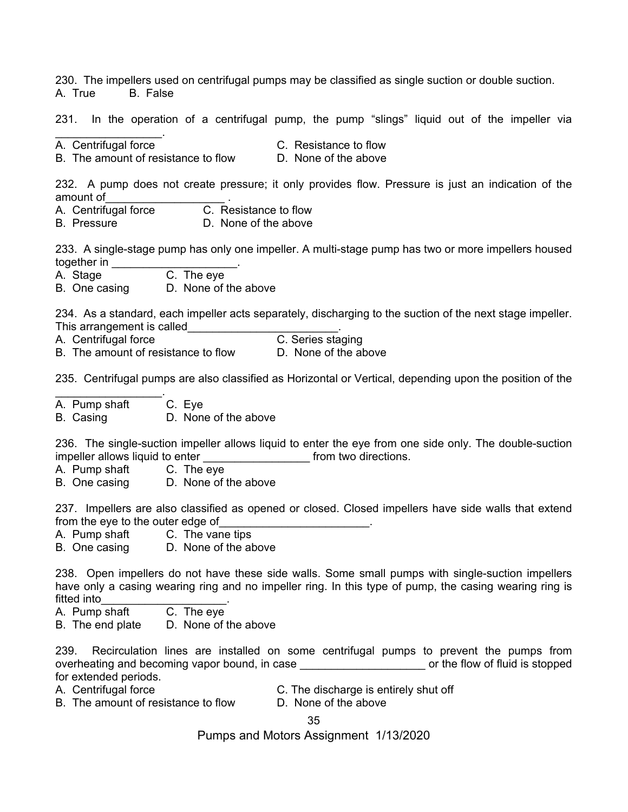230. The impellers used on centrifugal pumps may be classified as single suction or double suction. A. True B. False

231. In the operation of a centrifugal pump, the pump "slings" liquid out of the impeller via

 $\mathcal{L}_\text{max}$  . The set of the set of the set of the set of the set of the set of the set of the set of the set of the set of the set of the set of the set of the set of the set of the set of the set of the set of the set

A. Centrifugal force C. Resistance to flow

B. The amount of resistance to flow D. None of the above

232. A pump does not create pressure; it only provides flow. Pressure is just an indication of the amount of<br>A. Centrifugal force

- C. Resistance to flow
- B. Pressure D. None of the above

233. A single-stage pump has only one impeller. A multi-stage pump has two or more impellers housed together in **Languary** 

A. Stage C. The eye

B. One casing D. None of the above

234. As a standard, each impeller acts separately, discharging to the suction of the next stage impeller. This arrangement is called

A. Centrifugal force C. Series staging

B. The amount of resistance to flow D. None of the above

235. Centrifugal pumps are also classified as Horizontal or Vertical, depending upon the position of the

- $\mathcal{L}_\text{max}$  . The set of the set of the set of the set of the set of the set of the set of the set of the set of the set of the set of the set of the set of the set of the set of the set of the set of the set of the set A. Pump shaft C. Eye
- B. Casing D. None of the above

236. The single-suction impeller allows liquid to enter the eye from one side only. The double-suction impeller allows liquid to enter \_\_\_\_\_\_\_\_\_\_\_\_\_\_\_\_\_\_\_\_\_\_\_ from two directions.

A. Pump shaft C. The eye

B. One casing D. None of the above

237. Impellers are also classified as opened or closed. Closed impellers have side walls that extend from the eye to the outer edge of

A. Pump shaft C. The vane tips

B. One casing D. None of the above

238. Open impellers do not have these side walls. Some small pumps with single-suction impellers have only a casing wearing ring and no impeller ring. In this type of pump, the casing wearing ring is fitted into

A. Pump shaft C. The eye

B. The end plate D. None of the above

239. Recirculation lines are installed on some centrifugal pumps to prevent the pumps from overheating and becoming vapor bound, in case \_\_\_\_\_\_\_\_\_\_\_\_\_\_\_\_\_\_\_\_\_\_\_\_\_\_\_\_\_\_\_\_\_\_ or the flow of fluid is stopped for extended periods.

- A. Centrifugal force C. The discharge is entirely shut off
- B. The amount of resistance to flow D. None of the above
	- 35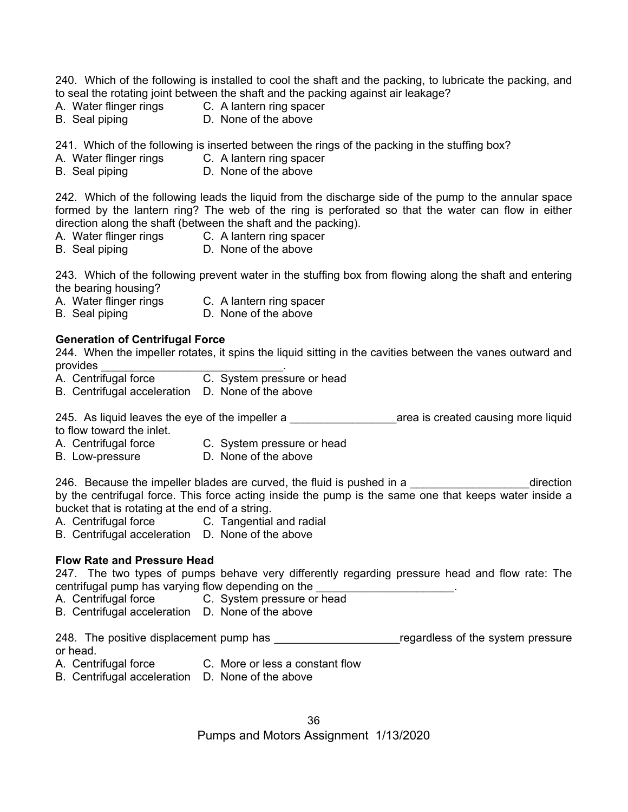240. Which of the following is installed to cool the shaft and the packing, to lubricate the packing, and to seal the rotating joint between the shaft and the packing against air leakage?

- 
- A. Water flinger rings C. A lantern ring spacer
- B. Seal piping D. None of the above
- 

241. Which of the following is inserted between the rings of the packing in the stuffing box? A. Water flinger rings C. A lantern ring spacer

B. Seal piping D. None of the above

242. Which of the following leads the liquid from the discharge side of the pump to the annular space formed by the lantern ring? The web of the ring is perforated so that the water can flow in either direction along the shaft (between the shaft and the packing).

A. Water flinger rings C. A lantern ring spacer

B. Seal piping D. None of the above

243. Which of the following prevent water in the stuffing box from flowing along the shaft and entering the bearing housing?

A. Water flinger rings C. A lantern ring spacer

B. Seal piping D. None of the above

## **Generation of Centrifugal Force**

244. When the impeller rotates, it spins the liquid sitting in the cavities between the vanes outward and provides

- A. Centrifugal force **C.** System pressure or head
- B. Centrifugal acceleration D. None of the above

245. As liquid leaves the eye of the impeller a set of the interval area is created causing more liquid

to flow toward the inlet.

- A. Centrifugal force C. System pressure or head
- B. Low-pressure D. None of the above

246. Because the impeller blades are curved, the fluid is pushed in a \_\_\_\_\_\_\_\_\_\_\_\_\_\_\_\_\_\_\_direction by the centrifugal force. This force acting inside the pump is the same one that keeps water inside a bucket that is rotating at the end of a string.

A. Centrifugal force C. Tangential and radial

B. Centrifugal acceleration D. None of the above

## **Flow Rate and Pressure Head**

247. The two types of pumps behave very differently regarding pressure head and flow rate: The centrifugal pump has varying flow depending on the

- A. Centrifugal force C. System pressure or head
- B. Centrifugal acceleration D. None of the above

248. The positive displacement pump has **the system pressure** regardless of the system pressure or head.

- A. Centrifugal force C. More or less a constant flow
- B. Centrifugal acceleration D. None of the above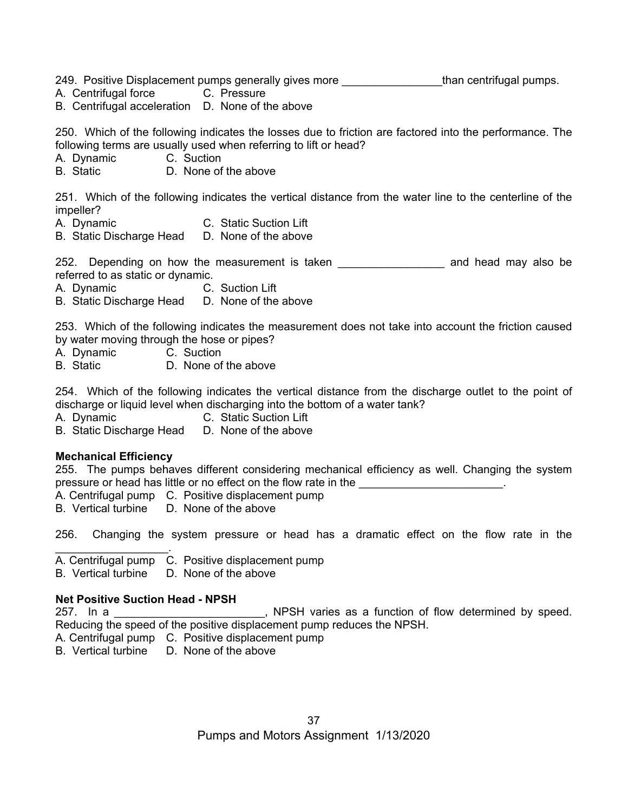249. Positive Displacement pumps generally gives more \_\_\_\_\_\_\_\_\_\_\_\_\_\_\_\_\_\_\_than centrifugal pumps.

- A. Centrifugal force C. Pressure
- B. Centrifugal acceleration D. None of the above

250. Which of the following indicates the losses due to friction are factored into the performance. The following terms are usually used when referring to lift or head?

- A. Dynamic C. Suction
- B. Static D. None of the above

251. Which of the following indicates the vertical distance from the water line to the centerline of the impeller?

- A. Dynamic C. Static Suction Lift
- B. Static Discharge Head D. None of the above

252. Depending on how the measurement is taken \_\_\_\_\_\_\_\_\_\_\_\_\_\_\_\_\_\_\_\_ and head may also be referred to as static or dynamic.

A. Dynamic C. Suction Lift

B. Static Discharge Head D. None of the above

253. Which of the following indicates the measurement does not take into account the friction caused by water moving through the hose or pipes?

- A. Dynamic C. Suction
- B. Static D. None of the above

254. Which of the following indicates the vertical distance from the discharge outlet to the point of discharge or liquid level when discharging into the bottom of a water tank?

A. Dynamic C. Static Suction Lift

B. Static Discharge Head D. None of the above

#### **Mechanical Efficiency**

 $\mathcal{L}_\text{max}$  and  $\mathcal{L}_\text{max}$  and  $\mathcal{L}_\text{max}$ 

255. The pumps behaves different considering mechanical efficiency as well. Changing the system pressure or head has little or no effect on the flow rate in the \_\_\_\_\_\_\_\_\_\_\_\_\_\_\_\_\_\_\_\_\_\_\_.

- A. Centrifugal pump C. Positive displacement pump
- B. Vertical turbine D. None of the above

256. Changing the system pressure or head has a dramatic effect on the flow rate in the

A. Centrifugal pump C. Positive displacement pump

B. Vertical turbine D. None of the above

#### **Net Positive Suction Head - NPSH**

257. In a \_\_\_\_\_\_\_\_\_\_\_\_\_\_\_\_\_\_\_\_\_\_\_\_, NPSH varies as a function of flow determined by speed. Reducing the speed of the positive displacement pump reduces the NPSH.

A. Centrifugal pump C. Positive displacement pump

B. Vertical turbine D. None of the above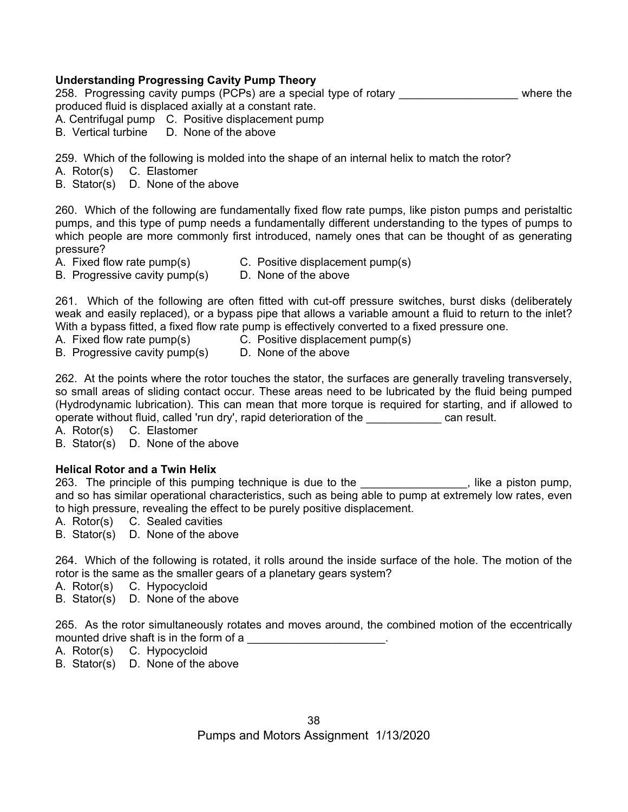### **Understanding Progressing Cavity Pump Theory**

258. Progressing cavity pumps (PCPs) are a special type of rotary \_\_\_\_\_\_\_\_\_\_\_\_\_\_\_\_\_\_\_\_\_ where the produced fluid is displaced axially at a constant rate.

- A. Centrifugal pump C. Positive displacement pump
- B. Vertical turbine D. None of the above

259. Which of the following is molded into the shape of an internal helix to match the rotor?

- A. Rotor(s) C. Elastomer
- B. Stator(s) D. None of the above

260. Which of the following are fundamentally fixed flow rate pumps, like piston pumps and peristaltic pumps, and this type of pump needs a fundamentally different understanding to the types of pumps to which people are more commonly first introduced, namely ones that can be thought of as generating pressure?

- A. Fixed flow rate pump(s) C. Positive displacement pump(s)
- B. Progressive cavity pump(s) D. None of the above

261. Which of the following are often fitted with cut-off pressure switches, burst disks (deliberately weak and easily replaced), or a bypass pipe that allows a variable amount a fluid to return to the inlet? With a bypass fitted, a fixed flow rate pump is effectively converted to a fixed pressure one.

- A. Fixed flow rate pump(s) C. Positive displacement pump(s)
- B. Progressive cavity pump(s) D. None of the above

262. At the points where the rotor touches the stator, the surfaces are generally traveling transversely, so small areas of sliding contact occur. These areas need to be lubricated by the fluid being pumped (Hydrodynamic lubrication). This can mean that more torque is required for starting, and if allowed to operate without fluid, called 'run dry', rapid deterioration of the \_\_\_\_\_\_\_\_\_\_\_\_ can result.

A. Rotor(s) C. Elastomer

B. Stator(s) D. None of the above

#### **Helical Rotor and a Twin Helix**

263. The principle of this pumping technique is due to the **with the contract of the a** piston pump, and so has similar operational characteristics, such as being able to pump at extremely low rates, even to high pressure, revealing the effect to be purely positive displacement.

- A. Rotor(s) C. Sealed cavities
- B. Stator(s) D. None of the above

264. Which of the following is rotated, it rolls around the inside surface of the hole. The motion of the rotor is the same as the smaller gears of a planetary gears system?

- A. Rotor(s) C. Hypocycloid
- B. Stator(s) D. None of the above

265. As the rotor simultaneously rotates and moves around, the combined motion of the eccentrically mounted drive shaft is in the form of a **wave shaft** is in the form of a

- A. Rotor(s) C. Hypocycloid
- B. Stator(s) D. None of the above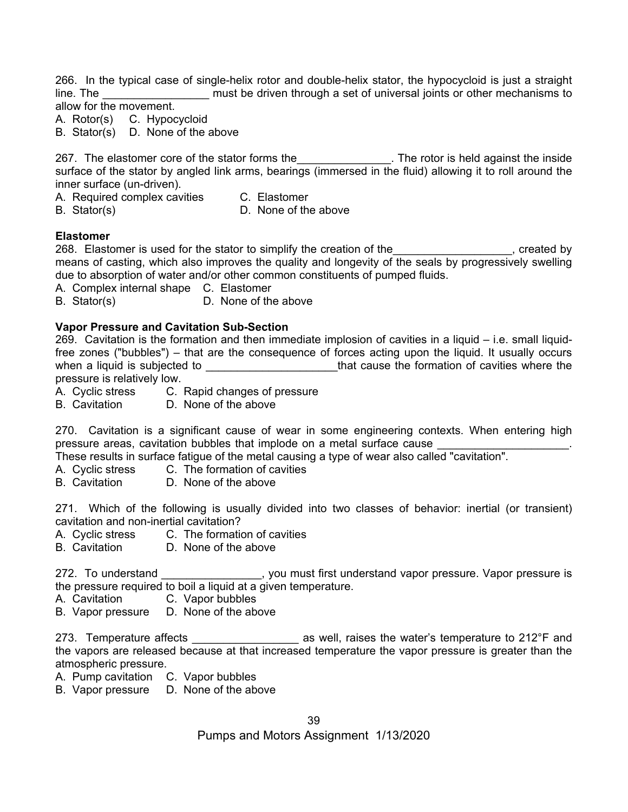266. In the typical case of single-helix rotor and double-helix stator, the hypocycloid is just a straight line. The \_\_\_\_\_\_\_\_\_\_\_\_\_\_\_\_\_\_\_\_\_ must be driven through a set of universal joints or other mechanisms to allow for the movement.

A. Rotor(s) C. Hypocycloid

B. Stator(s) D. None of the above

267. The elastomer core of the stator forms the the state of the state of the rotor is held against the inside surface of the stator by angled link arms, bearings (immersed in the fluid) allowing it to roll around the inner surface (un-driven).

A. Required complex cavities C. Elastomer

B. Stator(s) D. None of the above

### **Elastomer**

268. Elastomer is used for the stator to simplify the creation of the **Election** 268. Elastomer is used by means of casting, which also improves the quality and longevity of the seals by progressively swelling due to absorption of water and/or other common constituents of pumped fluids.

A. Complex internal shape C. Elastomer

B. Stator(s) D. None of the above

### **Vapor Pressure and Cavitation Sub-Section**

269. Cavitation is the formation and then immediate implosion of cavities in a liquid – i.e. small liquidfree zones ("bubbles") – that are the consequence of forces acting upon the liquid. It usually occurs when a liquid is subjected to \_\_\_\_\_\_\_\_\_\_\_\_\_\_\_\_\_\_\_\_\_\_\_\_\_that cause the formation of cavities where the pressure is relatively low.

A. Cyclic stress C. Rapid changes of pressure

B. Cavitation D. None of the above

270. Cavitation is a significant cause of wear in some engineering contexts. When entering high pressure areas, cavitation bubbles that implode on a metal surface cause

These results in surface fatigue of the metal causing a type of wear also called "cavitation".

- A. Cyclic stress C. The formation of cavities
- B. Cavitation D. None of the above

271. Which of the following is usually divided into two classes of behavior: inertial (or transient) cavitation and non-inertial cavitation?

- A. Cyclic stress C. The formation of cavities
- B. Cavitation D. None of the above

272. To understand \_\_\_\_\_\_\_\_\_\_\_\_\_\_\_\_, you must first understand vapor pressure. Vapor pressure is the pressure required to boil a liquid at a given temperature.

A. Cavitation C. Vapor bubbles

B. Vapor pressure D. None of the above

273. Temperature affects **the set of the set of the vater's temperature to 212°F and** the vapors are released because at that increased temperature the vapor pressure is greater than the atmospheric pressure.

- A. Pump cavitation C. Vapor bubbles
- B. Vapor pressure D. None of the above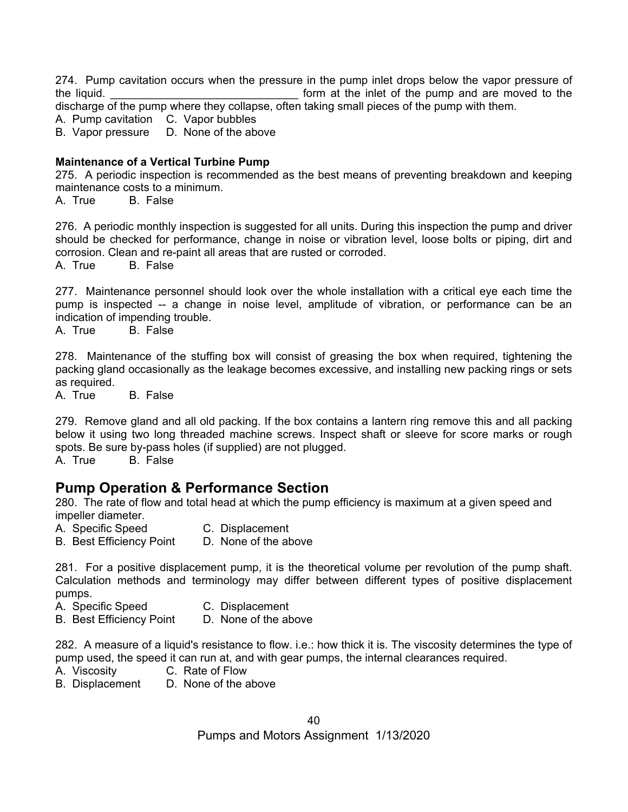274. Pump cavitation occurs when the pressure in the pump inlet drops below the vapor pressure of the liquid. The liquid. The liquid. The liquid. The same state of the inlet of the pump and are moved to the discharge of the pump where they collapse, often taking small pieces of the pump with them.

A. Pump cavitation C. Vapor bubbles

B. Vapor pressure D. None of the above

#### **Maintenance of a Vertical Turbine Pump**

275. A periodic inspection is recommended as the best means of preventing breakdown and keeping maintenance costs to a minimum.

A. True B. False

276. A periodic monthly inspection is suggested for all units. During this inspection the pump and driver should be checked for performance, change in noise or vibration level, loose bolts or piping, dirt and corrosion. Clean and re-paint all areas that are rusted or corroded.

A. True B. False

277. Maintenance personnel should look over the whole installation with a critical eye each time the pump is inspected -- a change in noise level, amplitude of vibration, or performance can be an indication of impending trouble.

A. True B. False

278. Maintenance of the stuffing box will consist of greasing the box when required, tightening the packing gland occasionally as the leakage becomes excessive, and installing new packing rings or sets as required.

A. True B. False

279. Remove gland and all old packing. If the box contains a lantern ring remove this and all packing below it using two long threaded machine screws. Inspect shaft or sleeve for score marks or rough spots. Be sure by-pass holes (if supplied) are not plugged.

A. True B. False

## **Pump Operation & Performance Section**

280. The rate of flow and total head at which the pump efficiency is maximum at a given speed and impeller diameter.

A. Specific Speed C. Displacement<br>B. Best Efficiency Point D. None of the above

B. Best Efficiency Point

281. For a positive displacement pump, it is the theoretical volume per revolution of the pump shaft. Calculation methods and terminology may differ between different types of positive displacement pumps.

- A. Specific Speed C. Displacement
- B. Best Efficiency Point D. None of the above

282. A measure of a liquid's resistance to flow. i.e.: how thick it is. The viscosity determines the type of pump used, the speed it can run at, and with gear pumps, the internal clearances required.

A. Viscosity C. Rate of Flow

B. Displacement D. None of the above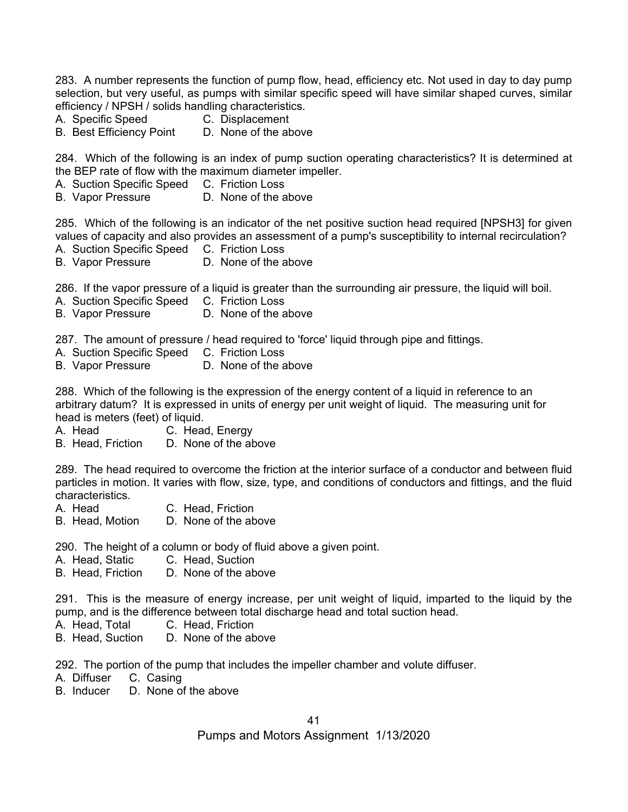283. A number represents the function of pump flow, head, efficiency etc. Not used in day to day pump selection, but very useful, as pumps with similar specific speed will have similar shaped curves, similar efficiency / NPSH / solids handling characteristics.<br>A. Specific Speed C. Displacement

- A. Specific Speed C. Displacement<br>B. Best Efficiency Point D. None of the above
- B. Best Efficiency Point

284. Which of the following is an index of pump suction operating characteristics? It is determined at the BEP rate of flow with the maximum diameter impeller.

- A. Suction Specific Speed C. Friction Loss
- B. Vapor Pressure D. None of the above

285. Which of the following is an indicator of the net positive suction head required [NPSH3] for given values of capacity and also provides an assessment of a pump's susceptibility to internal recirculation?

- A. Suction Specific Speed C. Friction Loss
- B. Vapor Pressure D. None of the above

286. If the vapor pressure of a liquid is greater than the surrounding air pressure, the liquid will boil.

- A. Suction Specific Speed C. Friction Loss<br>B. Vapor Pressure B. None of the a
- D. None of the above

287. The amount of pressure / head required to 'force' liquid through pipe and fittings.

- A. Suction Specific Speed C. Friction Loss
- B. Vapor Pressure D. None of the above

288. Which of the following is the expression of the energy content of a liquid in reference to an arbitrary datum? It is expressed in units of energy per unit weight of liquid. The measuring unit for head is meters (feet) of liquid.

A. Head C. Head, Energy

B. Head, Friction D. None of the above

289. The head required to overcome the friction at the interior surface of a conductor and between fluid particles in motion. It varies with flow, size, type, and conditions of conductors and fittings, and the fluid characteristics.

- A. Head C. Head, Friction
- B. Head, Motion D. None of the above

290. The height of a column or body of fluid above a given point.

- A. Head, Static C.Head, Suction
- B. Head, Friction D. None of the above

291. This is the measure of energy increase, per unit weight of liquid, imparted to the liquid by the pump, and is the difference between total discharge head and total suction head.

- A. Head, Total C.Head, Friction
- B. Head, Suction D. None of the above

292. The portion of the pump that includes the impeller chamber and volute diffuser.

- A. Diffuser C. Casing
- B. Inducer D. None of the above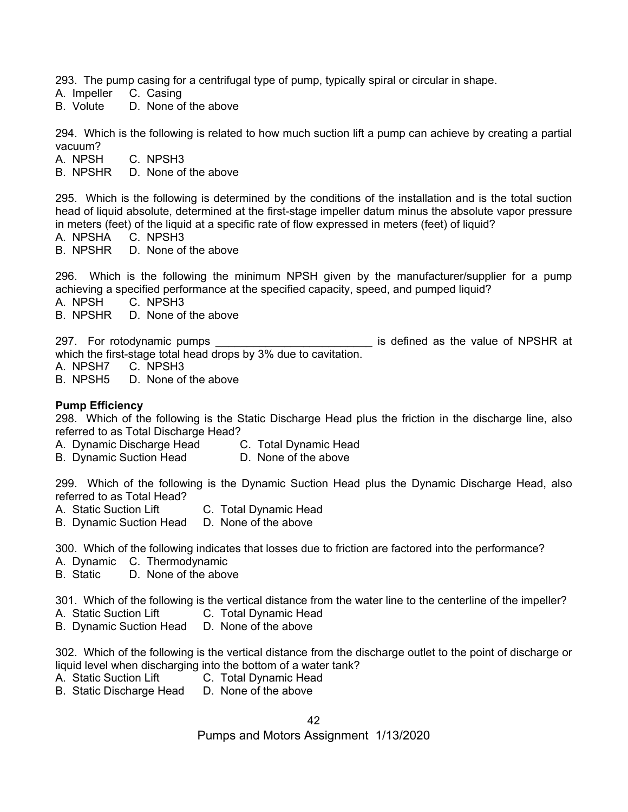293. The pump casing for a centrifugal type of pump, typically spiral or circular in shape.

A. Impeller C. Casing

B. Volute D. None of the above

294. Which is the following is related to how much suction lift a pump can achieve by creating a partial vacuum?

A. NPSH C. NPSH3

B. NPSHR D. None of the above

295. Which is the following is determined by the conditions of the installation and is the total suction head of liquid absolute, determined at the first-stage impeller datum minus the absolute vapor pressure in meters (feet) of the liquid at a specific rate of flow expressed in meters (feet) of liquid?

- A. NPSHA C. NPSH3
- B. NPSHR D. None of the above

296. Which is the following the minimum NPSH given by the manufacturer/supplier for a pump achieving a specified performance at the specified capacity, speed, and pumped liquid?

A. NPSH C. NPSH3

B. NPSHR D. None of the above

297. For rotodynamic pumps **Exercise 2018** is defined as the value of NPSHR at which the first-stage total head drops by 3% due to cavitation.

A. NPSH7 C. NPSH3

B. NPSH5 D. None of the above

#### **Pump Efficiency**

298. Which of the following is the Static Discharge Head plus the friction in the discharge line, also referred to as Total Discharge Head?

- A. Dynamic Discharge Head C. Total Dynamic Head<br>B. Dynamic Suction Head D. None of the above
- B. Dynamic Suction Head

299. Which of the following is the Dynamic Suction Head plus the Dynamic Discharge Head, also referred to as Total Head?

- A. Static Suction Lift C. Total Dynamic Head
- B. Dynamic Suction Head D. None of the above

300. Which of the following indicates that losses due to friction are factored into the performance?

- A. Dynamic C. Thermodynamic
- B. Static D. None of the above

301. Which of the following is the vertical distance from the water line to the centerline of the impeller?

- A. Static Suction Lift C. Total Dynamic Head
- B. Dynamic Suction Head D. None of the above

302. Which of the following is the vertical distance from the discharge outlet to the point of discharge or liquid level when discharging into the bottom of a water tank?

- A. Static Suction Lift C. Total Dynamic Head
- B. Static Discharge Head D. None of the above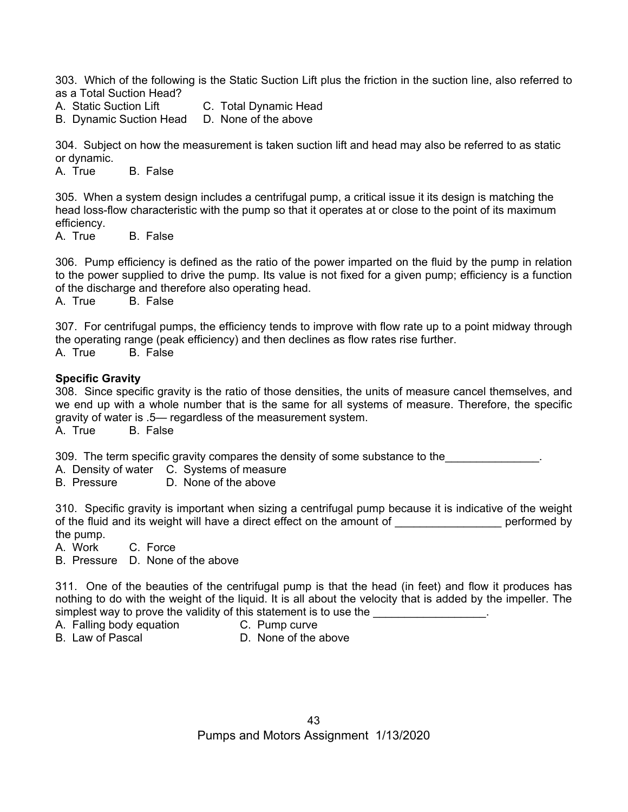303. Which of the following is the Static Suction Lift plus the friction in the suction line, also referred to as a Total Suction Head?

- A. Static Suction Lift C. Total Dynamic Head<br>B. Dynamic Suction Head D. None of the above
- B. Dynamic Suction Head

304. Subject on how the measurement is taken suction lift and head may also be referred to as static or dynamic.

A. True B. False

305. When a system design includes a centrifugal pump, a critical issue it its design is matching the head loss-flow characteristic with the pump so that it operates at or close to the point of its maximum efficiency.

A. True B. False

306. Pump efficiency is defined as the ratio of the power imparted on the fluid by the pump in relation to the power supplied to drive the pump. Its value is not fixed for a given pump; efficiency is a function of the discharge and therefore also operating head.

A. True B. False

307. For centrifugal pumps, the efficiency tends to improve with flow rate up to a point midway through the operating range (peak efficiency) and then declines as flow rates rise further. A. True B. False

#### **Specific Gravity**

308. Since specific gravity is the ratio of those densities, the units of measure cancel themselves, and we end up with a whole number that is the same for all systems of measure. Therefore, the specific gravity of water is .5— regardless of the measurement system.

A. True B. False

309. The term specific gravity compares the density of some substance to the **with the state of the**.

- A. Density of water C. Systems of measure
- B. Pressure D. None of the above

310. Specific gravity is important when sizing a centrifugal pump because it is indicative of the weight of the fluid and its weight will have a direct effect on the amount of **Example 20** performed by the pump.

A. Work C. Force

B. Pressure D. None of the above

311. One of the beauties of the centrifugal pump is that the head (in feet) and flow it produces has nothing to do with the weight of the liquid. It is all about the velocity that is added by the impeller. The simplest way to prove the validity of this statement is to use the \_\_\_\_\_\_\_\_\_\_\_\_\_\_\_\_\_\_\_\_<br>A. Falling body equation c. Pump curve

- A. Falling body equation<br>B. Law of Pascal
- 

D. None of the above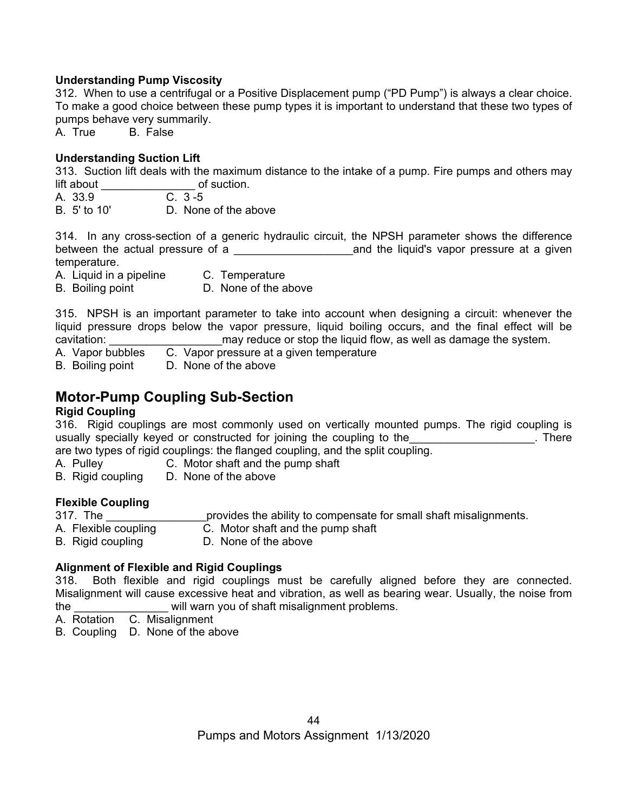#### **Understanding Pump Viscosity**

312. When to use a centrifugal or a Positive Displacement pump ("PD Pump") is always a clear choice. To make a good choice between these pump types it is important to understand that these two types of pumps behave very summarily.

A. True B. False

#### **Understanding Suction Lift**

313. Suction lift deals with the maximum distance to the intake of a pump. Fire pumps and others may lift about  $\qquad \qquad$  of suction.

A. 33.9 C. 3 -5<br>B. 5' to 10' D. Non

D. None of the above

314. In any cross-section of a generic hydraulic circuit, the NPSH parameter shows the difference between the actual pressure of a **Exercise 2** and the liquid's vapor pressure at a given temperature.

A. Liquid in a pipeline C. Temperature

B. Boiling point D. None of the above

315. NPSH is an important parameter to take into account when designing a circuit: whenever the liquid pressure drops below the vapor pressure, liquid boiling occurs, and the final effect will be cavitation: **Example 20** cavitation: **Example 20** cavitation: **Example 20** cavitation:

A. Vapor bubbles C. Vapor pressure at a given temperature

B. Boiling point D. None of the above

# **Motor-Pump Coupling Sub-Section**

#### **Rigid Coupling**

316. Rigid couplings are most commonly used on vertically mounted pumps. The rigid coupling is usually specially keyed or constructed for joining the coupling to the\_\_\_\_\_\_\_\_\_\_\_\_\_\_\_\_\_\_\_. There are two types of rigid couplings: the flanged coupling, and the split coupling.

- A. Pulley C. Motor shaft and the pump shaft
- B. Rigid coupling D. None of the above

#### **Flexible Coupling**

- 317. The same provides the ability to compensate for small shaft misalignments.
- A. Flexible coupling C. Motor shaft and the pump shaft
- B. Rigid coupling D. None of the above

#### **Alignment of Flexible and Rigid Couplings**

318. Both flexible and rigid couplings must be carefully aligned before they are connected. Misalignment will cause excessive heat and vibration, as well as bearing wear. Usually, the noise from the will warn you of shaft misalignment problems.

A. Rotation C. Misalignment

B. Coupling D. None of the above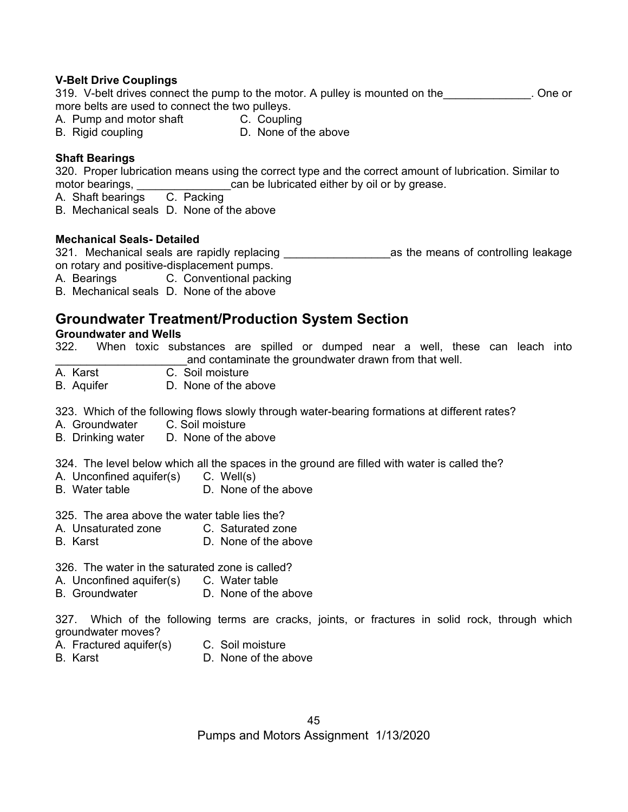#### **V-Belt Drive Couplings**

319. V-belt drives connect the pump to the motor. A pulley is mounted on the Theorem on the contact of the or more belts are used to connect the two pulleys.

A. Pump and motor shaft C. Coupling

B. Rigid coupling **D.** None of the above

**Shaft Bearings** 

320. Proper lubrication means using the correct type and the correct amount of lubrication. Similar to motor bearings, exam be lubricated either by oil or by grease.

- A. Shaft bearings C. Packing
- B. Mechanical seals D. None of the above

### **Mechanical Seals- Detailed**

321. Mechanical seals are rapidly replacing \_\_\_\_\_\_\_\_\_\_\_\_\_\_\_\_\_as the means of controlling leakage on rotary and positive-displacement pumps.

- A. Bearings C. Conventional packing
- B. Mechanical seals D. None of the above

# **Groundwater Treatment/Production System Section**

#### **Groundwater and Wells**

322. When toxic substances are spilled or dumped near a well, these can leach into and contaminate the groundwater drawn from that well.

- A. Karst **C.** Soil moisture
- B. Aquifer D. None of the above

323. Which of the following flows slowly through water-bearing formations at different rates?

- A. Groundwater C. Soil moisture
- B. Drinking water D. None of the above

324. The level below which all the spaces in the ground are filled with water is called the?

- A. Unconfined aquifer(s) C. Well(s)
- B. Water table **D.** None of the above

325. The area above the water table lies the?

- A. Unsaturated zone C. Saturated zone
- B. Karst D. None of the above

326. The water in the saturated zone is called?

- A. Unconfined aquifer(s) C. Water table
- B. Groundwater D. None of the above

327. Which of the following terms are cracks, joints, or fractures in solid rock, through which groundwater moves?

- A. Fractured aquifer(s) C. Soil moisture
- B. Karst D. None of the above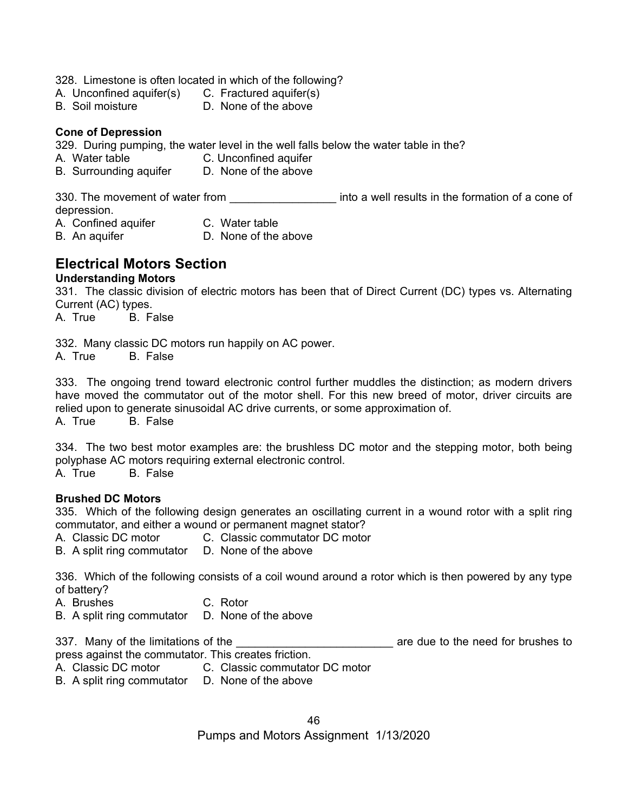- 328. Limestone is often located in which of the following?
- A. Unconfined aquifer(s) C. Fractured aquifer(s)
- B. Soil moisture D. None of the above

#### **Cone of Depression**

329. During pumping, the water level in the well falls below the water table in the?

- A. Water table C. Unconfined aquifer
- B. Surrounding aquifer D. None of the above

330. The movement of water from **Example 20** into a well results in the formation of a cone of depression.

A. Confined aquifer **C. Water table** 

- 
- B. An aquifer D. None of the above

# **Electrical Motors Section**

#### **Understanding Motors**

331. The classic division of electric motors has been that of Direct Current (DC) types vs. Alternating Current (AC) types.

A. True B. False

332. Many classic DC motors run happily on AC power.

A. True B. False

333. The ongoing trend toward electronic control further muddles the distinction; as modern drivers have moved the commutator out of the motor shell. For this new breed of motor, driver circuits are relied upon to generate sinusoidal AC drive currents, or some approximation of.

A. True B. False

334. The two best motor examples are: the brushless DC motor and the stepping motor, both being polyphase AC motors requiring external electronic control.

A. True B. False

#### **Brushed DC Motors**

335. Which of the following design generates an oscillating current in a wound rotor with a split ring commutator, and either a wound or permanent magnet stator?

- A. Classic DC motor C. Classic commutator DC motor
- B. A split ring commutator D. None of the above

336. Which of the following consists of a coil wound around a rotor which is then powered by any type of battery?

A. Brushes C. Rotor

B. A split ring commutator D. None of the above

337. Many of the limitations of the \_\_\_\_\_\_\_\_\_\_\_\_\_\_\_\_\_\_\_\_\_\_\_\_\_ are due to the need for brushes to press against the commutator. This creates friction.

- A. Classic DC motor C. Classic commutator DC motor
- B. A split ring commutator D. None of the above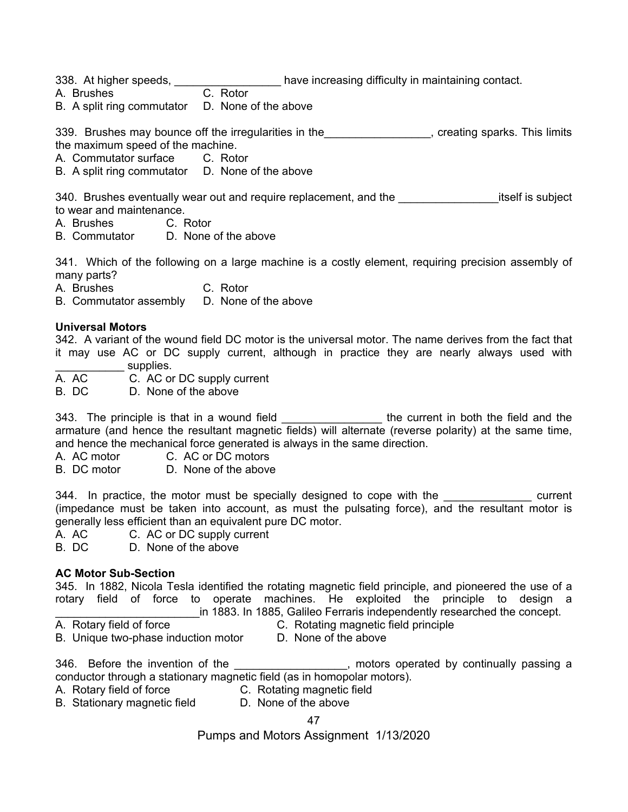338. At higher speeds, **we are also contact** have increasing difficulty in maintaining contact.

- A. Brushes C. Rotor
- B. A split ring commutator D. None of the above

339. Brushes may bounce off the irregularities in the **constand the constant of the constant**, creating sparks. This limits the maximum speed of the machine.

- A. Commutator surface C. Rotor
- B. A split ring commutator D. None of the above

340. Brushes eventually wear out and require replacement, and the **witch as a large example in the subject** to wear and maintenance.

- A. Brushes C. Rotor
- B. Commutator D. None of the above

341. Which of the following on a large machine is a costly element, requiring precision assembly of many parts?

A. Brushes C. Rotor

B. Commutator assembly D. None of the above

#### **Universal Motors**

342. A variant of the wound field DC motor is the universal motor. The name derives from the fact that it may use AC or DC supply current, although in practice they are nearly always used with supplies.

- A. AC C. AC or DC supply current
- B. D.C. D. None of the above

343. The principle is that in a wound field \_\_\_\_\_\_\_\_\_\_\_\_\_\_\_\_\_\_\_\_\_\_\_the current in both the field and the armature (and hence the resultant magnetic fields) will alternate (reverse polarity) at the same time, and hence the mechanical force generated is always in the same direction.

A. AC motor C. AC or DC motors

B. DC motor D. None of the above

344. In practice, the motor must be specially designed to cope with the example current (impedance must be taken into account, as must the pulsating force), and the resultant motor is generally less efficient than an equivalent pure DC motor.

A. AC C. AC or DC supply current

B. DC D. None of the above

#### **AC Motor Sub-Section**

345. In 1882, Nicola Tesla identified the rotating magnetic field principle, and pioneered the use of a rotary field of force to operate machines. He exploited the principle to design a in 1883. In 1885, Galileo Ferraris independently researched the concept.

- 
- A. Rotary field of force **C.** Rotating magnetic field principle
- B. Unique two-phase induction motor D. None of the above
- 

346. Before the invention of the \_\_\_\_\_\_\_\_\_\_\_\_\_\_\_\_\_, motors operated by continually passing a conductor through a stationary magnetic field (as in homopolar motors).

- A. Rotary field of force **C. Rotating magnetic field**
- B. Stationary magnetic field D. None of the above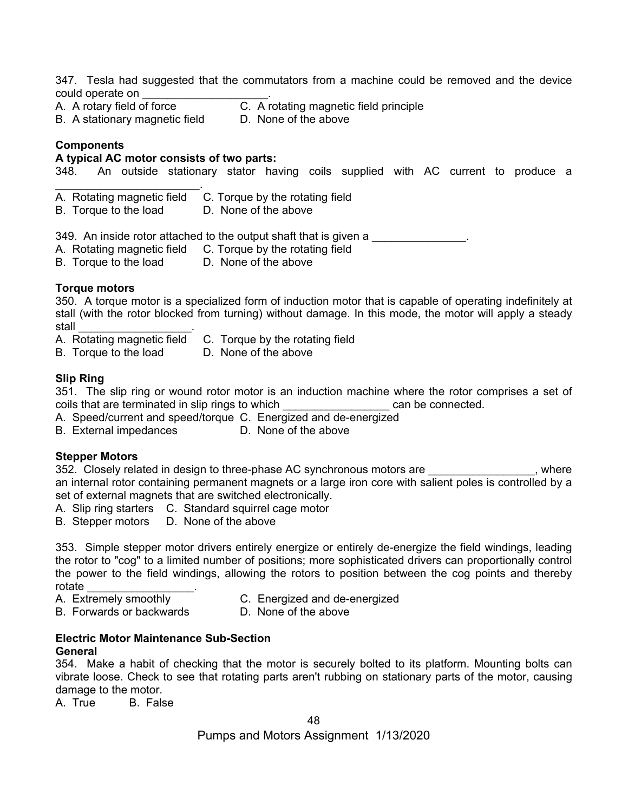347. Tesla had suggested that the commutators from a machine could be removed and the device could operate on \_\_\_\_\_\_\_\_\_\_\_\_\_\_\_\_\_\_\_\_.

- A. A rotary field of force **C.** A rotating magnetic field principle **B.** A stationary magnetic field **D.** None of the above
- B. A stationary magnetic field

#### **Components**

#### **A typical AC motor consists of two parts:**

348. An outside stationary stator having coils supplied with AC current to produce a

- $\mathcal{L}_\text{max}$  and  $\mathcal{L}_\text{max}$  and  $\mathcal{L}_\text{max}$ A. Rotating magnetic field  $\begin{array}{cc} \text{C} \\ \text{C} \end{array}$  Torque by the rotating field  $\begin{array}{cc} \text{D} \\ \text{D} \end{array}$  None of the above
- B. Torque to the load

349. An inside rotor attached to the output shaft that is given a

- A. Rotating magnetic field C. Torque by the rotating field
- B. Torque to the load D. None of the above

#### **Torque motors**

350. A torque motor is a specialized form of induction motor that is capable of operating indefinitely at stall (with the rotor blocked from turning) without damage. In this mode, the motor will apply a steady stall \_\_\_\_\_\_\_\_\_\_\_\_\_\_\_\_\_\_.

- A. Rotating magnetic field C. Torque by the rotating field
- B. Torque to the load D. None of the above

#### **Slip Ring**

351. The slip ring or wound rotor motor is an induction machine where the rotor comprises a set of coils that are terminated in slip rings to which \_\_\_\_\_\_\_\_\_\_\_\_\_\_\_\_\_\_\_\_\_\_\_ can be connected.

A. Speed/current and speed/torque C. Energized and de-energized

B. External impedances D. None of the above

#### **Stepper Motors**

352. Closely related in design to three-phase AC synchronous motors are  $\sim$  , where an internal rotor containing permanent magnets or a large iron core with salient poles is controlled by a set of external magnets that are switched electronically.

- A. Slip ring starters C. Standard squirrel cage motor
- B. Stepper motors D. None of the above

353. Simple stepper motor drivers entirely energize or entirely de-energize the field windings, leading the rotor to "cog" to a limited number of positions; more sophisticated drivers can proportionally control the power to the field windings, allowing the rotors to position between the cog points and thereby rotate<br>A. Extremely smoothly

- 
- C. Energized and de-energized<br>D. None of the above
- B. Forwards or backwards

#### **Electric Motor Maintenance Sub-Section General**

354. Make a habit of checking that the motor is securely bolted to its platform. Mounting bolts can vibrate loose. Check to see that rotating parts aren't rubbing on stationary parts of the motor, causing damage to the motor.

A. True B. False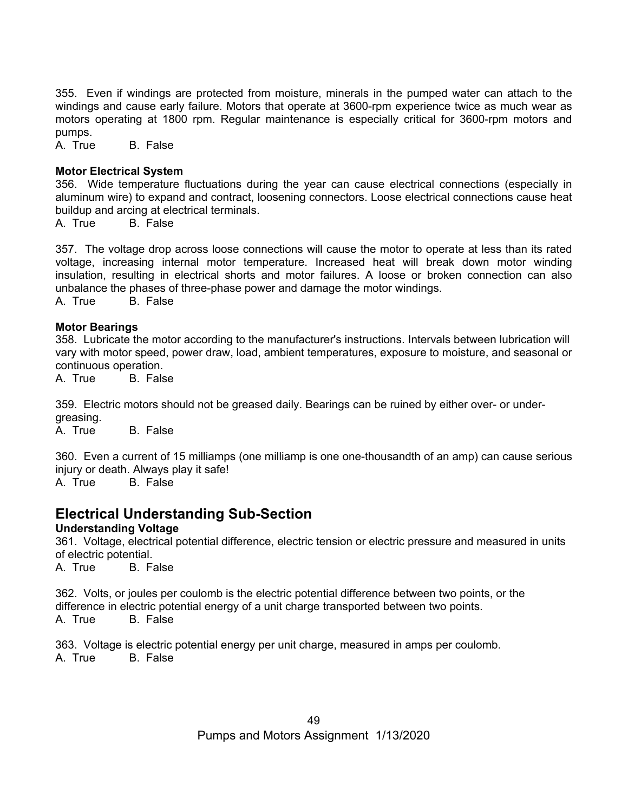355. Even if windings are protected from moisture, minerals in the pumped water can attach to the windings and cause early failure. Motors that operate at 3600-rpm experience twice as much wear as motors operating at 1800 rpm. Regular maintenance is especially critical for 3600-rpm motors and pumps.

A. True B. False

#### **Motor Electrical System**

356. Wide temperature fluctuations during the year can cause electrical connections (especially in aluminum wire) to expand and contract, loosening connectors. Loose electrical connections cause heat buildup and arcing at electrical terminals.

A. True B. False

357. The voltage drop across loose connections will cause the motor to operate at less than its rated voltage, increasing internal motor temperature. Increased heat will break down motor winding insulation, resulting in electrical shorts and motor failures. A loose or broken connection can also unbalance the phases of three-phase power and damage the motor windings. A. True B. False

#### **Motor Bearings**

358. Lubricate the motor according to the manufacturer's instructions. Intervals between lubrication will vary with motor speed, power draw, load, ambient temperatures, exposure to moisture, and seasonal or continuous operation.

A. True B. False

359. Electric motors should not be greased daily. Bearings can be ruined by either over- or undergreasing.

A. True B. False

360. Even a current of 15 milliamps (one milliamp is one one-thousandth of an amp) can cause serious injury or death. Always play it safe!

A. True B. False

## **Electrical Understanding Sub-Section**

#### **Understanding Voltage**

361. Voltage, electrical potential difference, electric tension or electric pressure and measured in units of electric potential.

A. True B. False

362. Volts, or joules per coulomb is the electric potential difference between two points, or the difference in electric potential energy of a unit charge transported between two points.

A. True B. False

363. Voltage is electric potential energy per unit charge, measured in amps per coulomb. A. True B. False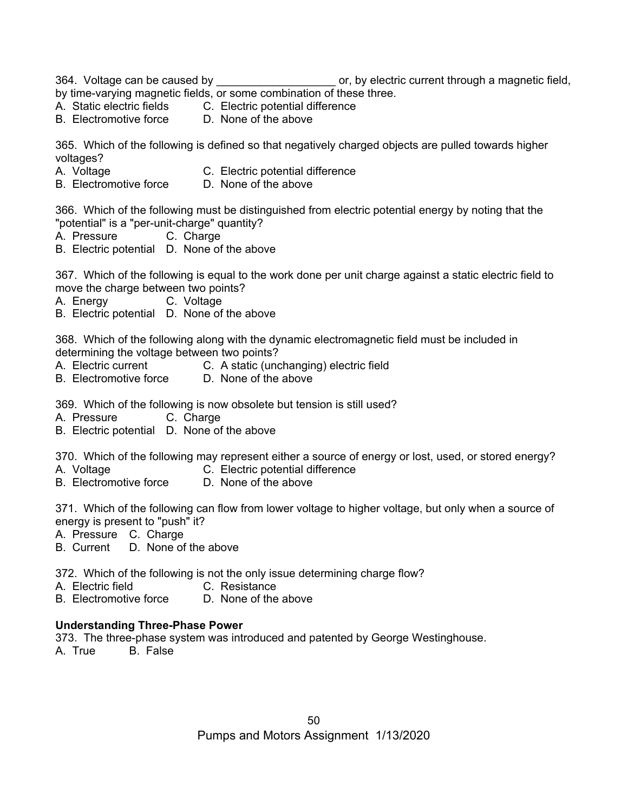364. Voltage can be caused by \_\_\_\_\_\_\_\_\_\_\_\_\_\_\_\_\_\_\_\_\_\_\_\_ or, by electric current through a magnetic field,

by time-varying magnetic fields, or some combination of these three.

- A. Static electric fields C. Electric potential difference
- B. Electromotive force D. None of the above

365. Which of the following is defined so that negatively charged objects are pulled towards higher voltages?

- A. Voltage **C. Electric potential difference**
- B. Electromotive force D. None of the above

366. Which of the following must be distinguished from electric potential energy by noting that the "potential" is a "per-unit-charge" quantity?

- A. Pressure C. Charge
- B. Electric potential D. None of the above

367. Which of the following is equal to the work done per unit charge against a static electric field to move the charge between two points?

- A. Energy C. Voltage
- B. Electric potential D. None of the above

368. Which of the following along with the dynamic electromagnetic field must be included in determining the voltage between two points?

- A. Electric current C. A static (unchanging) electric field
- B. Electromotive force D. None of the above

369. Which of the following is now obsolete but tension is still used?

- A. Pressure C. Charge
- B. Electric potential D. None of the above

370. Which of the following may represent either a source of energy or lost, used, or stored energy?

A. Voltage C. Electric potential difference<br>B. Electromotive force D. None of the above B. Electromotive force

371. Which of the following can flow from lower voltage to higher voltage, but only when a source of energy is present to "push" it?

- A. Pressure C. Charge
- B. Current D. None of the above

372. Which of the following is not the only issue determining charge flow?

A. Electric field **C. Resistance** 

B. Electromotive force D. None of the above

#### **Understanding Three-Phase Power**

373. The three-phase system was introduced and patented by George Westinghouse.

A. True B. False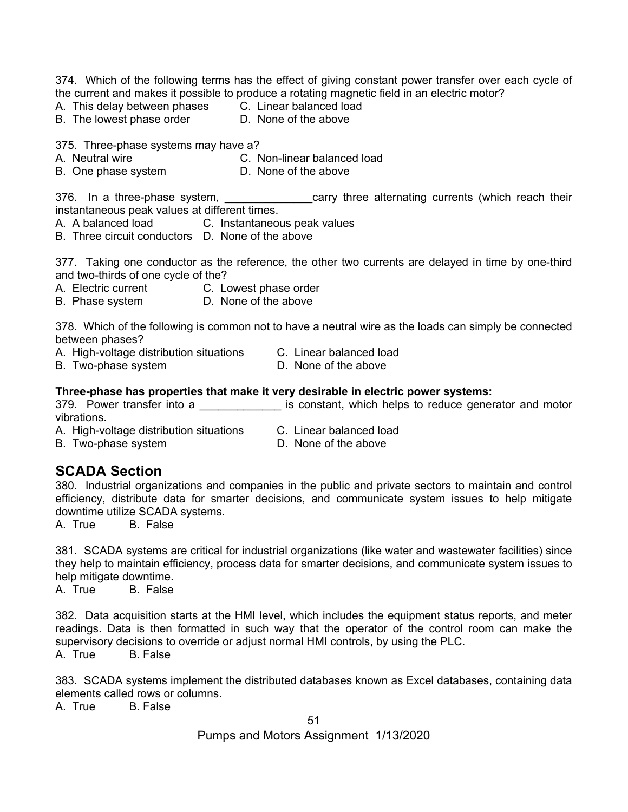374. Which of the following terms has the effect of giving constant power transfer over each cycle of the current and makes it possible to produce a rotating magnetic field in an electric motor?

- A. This delay between phases C. Linear balanced load
	-
- B. The lowest phase order **D.** None of the above

375. Three-phase systems may have a?

- A. Neutral wire C. Non-linear balanced load
- B. One phase system D. None of the above

376. In a three-phase system, **Example 20** carry three alternating currents (which reach their instantaneous peak values at different times.

- A. A balanced load C. Instantaneous peak values
- B. Three circuit conductors D. None of the above

377. Taking one conductor as the reference, the other two currents are delayed in time by one-third and two-thirds of one cycle of the?

- A. Electric current C. Lowest phase order
- B. Phase system D. None of the above

378. Which of the following is common not to have a neutral wire as the loads can simply be connected between phases?

- A. High-voltage distribution situations C. Linear balanced load
- B. Two-phase system D. None of the above
- **Three-phase has properties that make it very desirable in electric power systems:**

379. Power transfer into a **Exercice 1** is constant, which helps to reduce generator and motor vibrations.

A. High-voltage distribution situations C. Linear balanced load

B. Two-phase system D. None of the above

## **SCADA Section**

380. Industrial organizations and companies in the public and private sectors to maintain and control efficiency, distribute data for smarter decisions, and communicate system issues to help mitigate downtime utilize SCADA systems.

A. True B. False

381. SCADA systems are critical for industrial organizations (like water and wastewater facilities) since they help to maintain efficiency, process data for smarter decisions, and communicate system issues to help mitigate downtime.

A. True B. False

382. Data acquisition starts at the HMI level, which includes the equipment status reports, and meter readings. Data is then formatted in such way that the operator of the control room can make the supervisory decisions to override or adjust normal HMI controls, by using the PLC.<br>A True B False

**B. False** 

383. SCADA systems implement the distributed databases known as Excel databases, containing data elements called rows or columns.

A. True B. False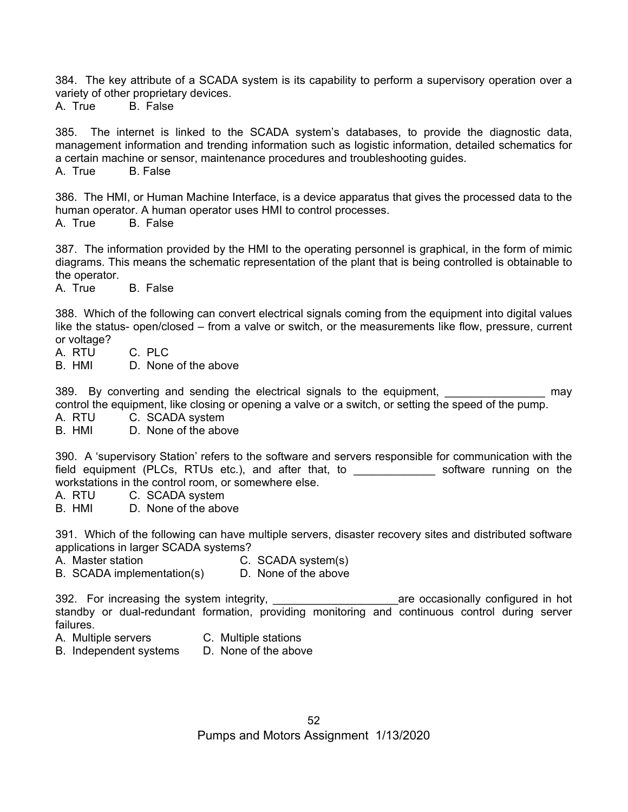384. The key attribute of a SCADA system is its capability to perform a supervisory operation over a variety of other proprietary devices.

A. True B. False

385. The internet is linked to the SCADA system's databases, to provide the diagnostic data, management information and trending information such as logistic information, detailed schematics for a certain machine or sensor, maintenance procedures and troubleshooting guides. A. True B. False

386. The HMI, or Human Machine Interface, is a device apparatus that gives the processed data to the human operator. A human operator uses HMI to control processes.

A. True B. False

387. The information provided by the HMI to the operating personnel is graphical, in the form of mimic diagrams. This means the schematic representation of the plant that is being controlled is obtainable to the operator.

A. True B. False

388. Which of the following can convert electrical signals coming from the equipment into digital values like the status- open/closed – from a valve or switch, or the measurements like flow, pressure, current or voltage?

- A. RTU C. PLC
- B. HMI D. None of the above

389. By converting and sending the electrical signals to the equipment, \_\_\_\_\_\_\_\_\_\_\_\_\_\_\_\_\_\_ may control the equipment, like closing or opening a valve or a switch, or setting the speed of the pump.

A. RTU C. SCADA system

B. HMI D. None of the above

390. A 'supervisory Station' refers to the software and servers responsible for communication with the field equipment (PLCs, RTUs etc.), and after that, to \_\_\_\_\_\_\_\_\_\_\_\_\_\_\_ software running on the workstations in the control room, or somewhere else.

- A. RTU C. SCADA system<br>B. HMI D. None of the abo
- D. None of the above

391. Which of the following can have multiple servers, disaster recovery sites and distributed software applications in larger SCADA systems?

- A. Master station C. SCADA system(s)
- B. SCADA implementation(s) D. None of the above

392. For increasing the system integrity, the same state of the second are occasionally configured in hot standby or dual-redundant formation, providing monitoring and continuous control during server failures.

- A. Multiple servers C. Multiple stations
- B. Independent systems D. None of the above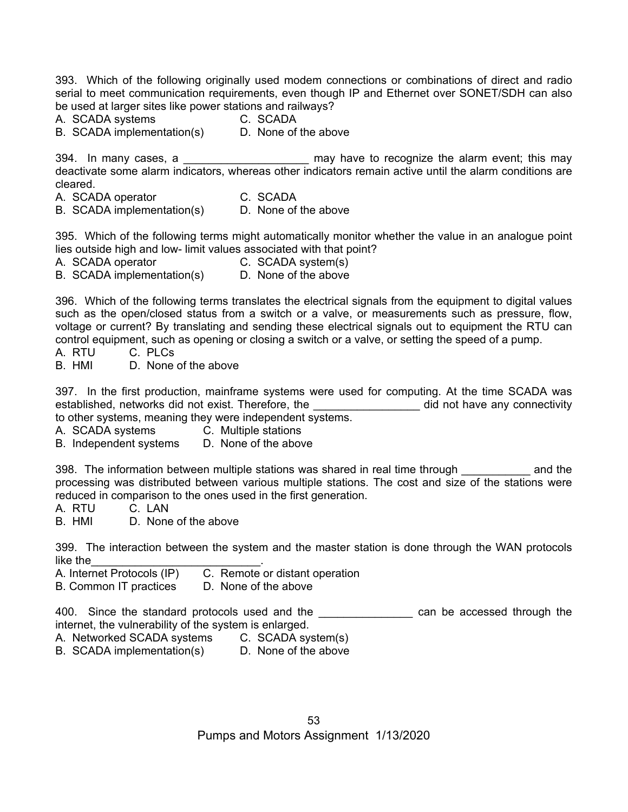393. Which of the following originally used modem connections or combinations of direct and radio serial to meet communication requirements, even though IP and Ethernet over SONET/SDH can also be used at larger sites like power stations and railways?

A. SCADA systems C. SCADA

B. SCADA implementation(s) D. None of the above

394. In many cases, a **Exercise 2018** may have to recognize the alarm event; this may deactivate some alarm indicators, whereas other indicators remain active until the alarm conditions are cleared.

A. SCADA operator C. SCADA

B. SCADA implementation(s) D. None of the above

395. Which of the following terms might automatically monitor whether the value in an analogue point lies outside high and low- limit values associated with that point?

A. SCADA operator C. SCADA system(s)

B. SCADA implementation(s) D. None of the above

396. Which of the following terms translates the electrical signals from the equipment to digital values such as the open/closed status from a switch or a valve, or measurements such as pressure, flow, voltage or current? By translating and sending these electrical signals out to equipment the RTU can control equipment, such as opening or closing a switch or a valve, or setting the speed of a pump.

- A. RTU C. PLCs
- B. HMI D. None of the above

397. In the first production, mainframe systems were used for computing. At the time SCADA was established, networks did not exist. Therefore, the example of the did not have any connectivity to other systems, meaning they were independent systems.

A. SCADA systems C. Multiple stations

B. Independent systems D. None of the above

398. The information between multiple stations was shared in real time through entity and the processing was distributed between various multiple stations. The cost and size of the stations were reduced in comparison to the ones used in the first generation.

A. RTU C. LAN

B. HMI D. None of the above

399. The interaction between the system and the master station is done through the WAN protocols like the

A. Internet Protocols (IP) C. Remote or distant operation

B. Common IT practices D. None of the above

400. Since the standard protocols used and the \_\_\_\_\_\_\_\_\_\_\_\_\_\_\_\_\_ can be accessed through the internet, the vulnerability of the system is enlarged.

A. Networked SCADA systems C. SCADA system(s)

B. SCADA implementation(s) D. None of the above